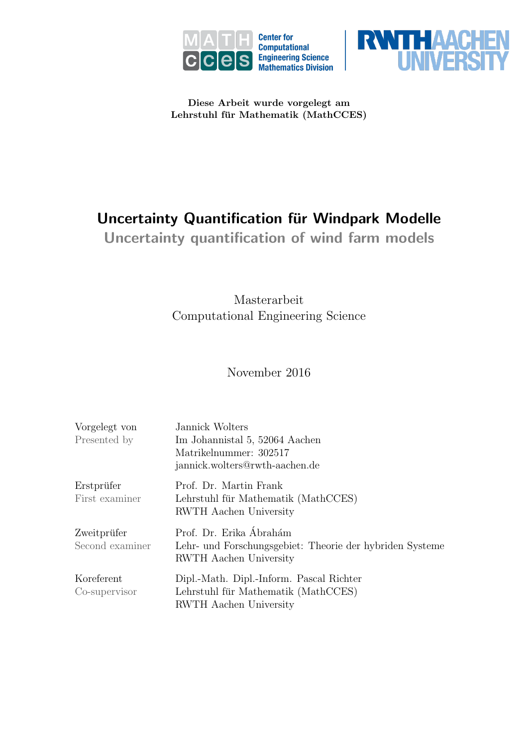



Diese Arbeit wurde vorgelegt am Lehrstuhl für Mathematik (MathCCES)

# Uncertainty Quantification für Windpark Modelle

Uncertainty quantification of wind farm models

Masterarbeit Computational Engineering Science

## November 2016

| Vorgelegt von<br>Presented by  | Jannick Wolters<br>Im Johannistal 5, 52064 Aachen<br>Matrikelnummer: 302517<br>jannick.wolters@rwth-aachen.de        |
|--------------------------------|----------------------------------------------------------------------------------------------------------------------|
| Erstprüfer<br>First examiner   | Prof. Dr. Martin Frank<br>Lehrstuhl für Mathematik (MathCCES)<br>RWTH Aachen University                              |
| Zweitprüfer<br>Second examiner | Prof. Dr. Erika Ábrahám<br>Lehr- und Forschungsgebiet: Theorie der hybriden Systeme<br><b>RWTH</b> Aachen University |
| Koreferent<br>Co-supervisor    | Dipl.-Math. Dipl.-Inform. Pascal Richter<br>Lehrstuhl für Mathematik (MathCCES)<br>RWTH Aachen University            |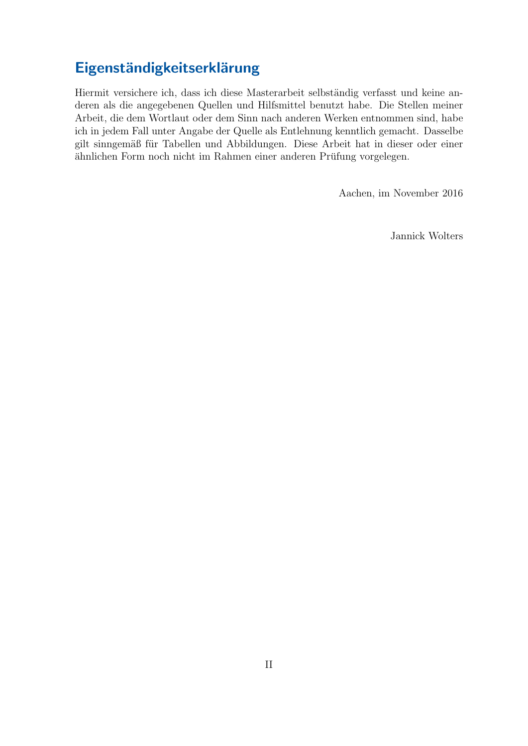# Eigenständigkeitserklärung

Hiermit versichere ich, dass ich diese Masterarbeit selbständig verfasst und keine anderen als die angegebenen Quellen und Hilfsmittel benutzt habe. Die Stellen meiner Arbeit, die dem Wortlaut oder dem Sinn nach anderen Werken entnommen sind, habe ich in jedem Fall unter Angabe der Quelle als Entlehnung kenntlich gemacht. Dasselbe gilt sinngemäß für Tabellen und Abbildungen. Diese Arbeit hat in dieser oder einer ähnlichen Form noch nicht im Rahmen einer anderen Prüfung vorgelegen.

Aachen, im November 2016

Jannick Wolters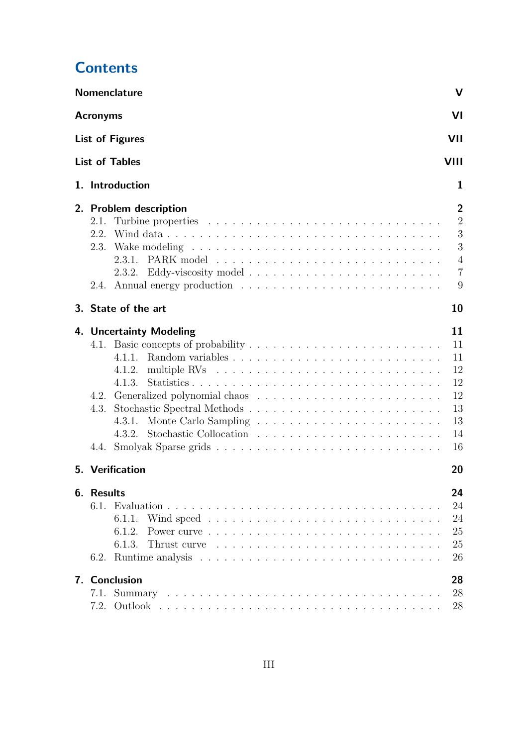|  | <b>Contents</b> |
|--|-----------------|
|  |                 |

|                              | <b>Nomenclature</b><br>V                                                                                                              |                                                                            |
|------------------------------|---------------------------------------------------------------------------------------------------------------------------------------|----------------------------------------------------------------------------|
| <b>Acronyms</b>              | VI                                                                                                                                    |                                                                            |
|                              | <b>List of Figures</b><br>VII                                                                                                         |                                                                            |
|                              | <b>List of Tables</b><br>VIII                                                                                                         |                                                                            |
|                              | 1. Introduction<br>1                                                                                                                  |                                                                            |
| 2.1.<br>2.2.<br>2.3.<br>2.4. | $\overline{2}$<br>2. Problem description                                                                                              | $\overline{2}$<br>$\sqrt{3}$<br>3<br>$\overline{4}$<br>$\overline{7}$<br>9 |
|                              | 10<br>3. State of the art                                                                                                             |                                                                            |
| 4.2.<br>4.3.<br>4.4.         | 11<br>4. Uncertainty Modeling<br>11<br>11<br>4.1.1.<br>12<br>4.1.2.<br>12<br>4.1.3.<br>12<br>13<br>13<br>4.3.1.<br>14<br>4.3.2.<br>16 |                                                                            |
|                              | 5. Verification<br>20                                                                                                                 |                                                                            |
| 6. Results<br>6.2.           | 24<br>24<br>24<br>6.1.1.<br>25<br>6.1.2.<br>25<br>6.1.3.<br>26                                                                        |                                                                            |
| 7.1.<br>7.2.                 | 7. Conclusion<br>28<br>28<br>28                                                                                                       |                                                                            |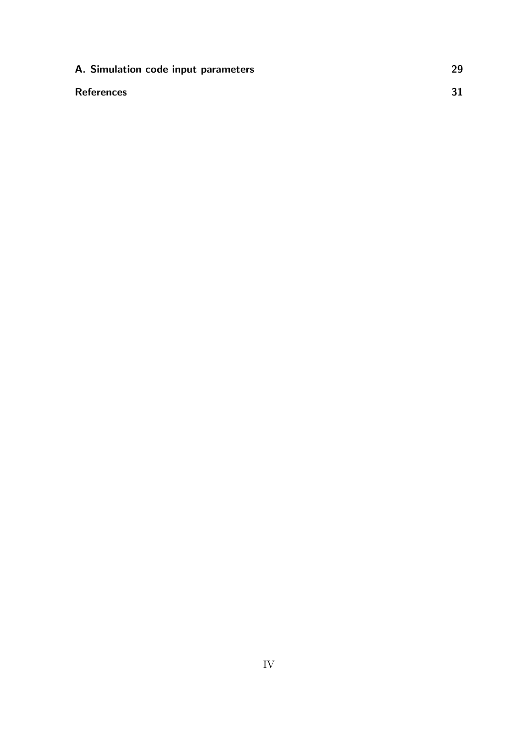| A. Simulation code input parameters | 29 |
|-------------------------------------|----|
| <b>References</b>                   |    |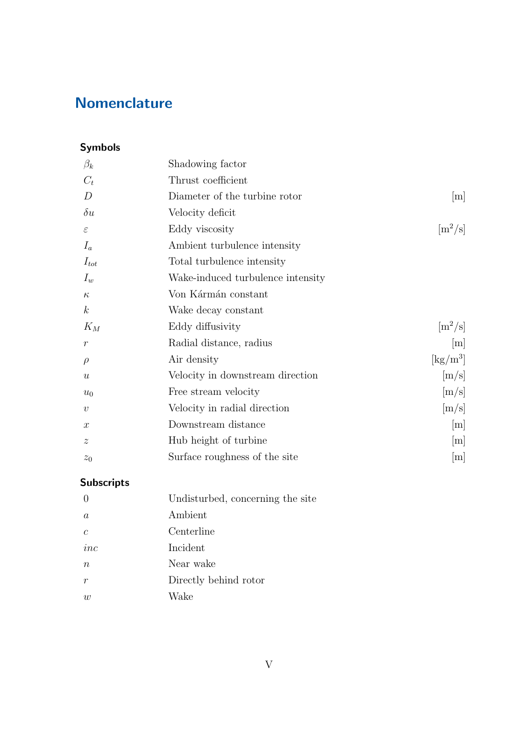# <span id="page-4-0"></span>**Nomenclature**

## Symbols

| Shadowing factor                  |                                         |
|-----------------------------------|-----------------------------------------|
| Thrust coefficient                |                                         |
| Diameter of the turbine rotor     | [m]                                     |
| Velocity deficit                  |                                         |
| Eddy viscosity                    | $\rm [m^2/s]$                           |
| Ambient turbulence intensity      |                                         |
| Total turbulence intensity        |                                         |
| Wake-induced turbulence intensity |                                         |
| Von Kármán constant               |                                         |
| Wake decay constant               |                                         |
| Eddy diffusivity                  | $\rm [m^2/s]$                           |
| Radial distance, radius           | [m]                                     |
| Air density                       | $\left[\mathrm{kg}/\mathrm{m}^3\right]$ |
| Velocity in downstream direction  | [m/s]                                   |
| Free stream velocity              | [m/s]                                   |
| Velocity in radial direction      | [m/s]                                   |
| Downstream distance               | m                                       |
| Hub height of turbine             | m                                       |
| Surface roughness of the site     | m                                       |
|                                   |                                         |

# Subscripts

| $\Omega$       | Undisturbed, concerning the site |
|----------------|----------------------------------|
| $\alpha$       | Ambient                          |
| $\epsilon$     | Centerline                       |
| inc            | Incident                         |
| $n_{\rm}$      | Near wake                        |
| r              | Directly behind rotor            |
| $\overline{w}$ | Wake                             |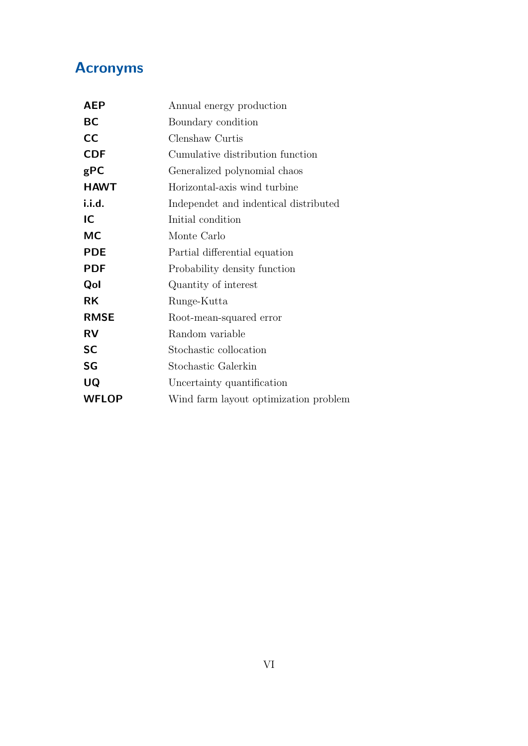# <span id="page-5-0"></span>Acronyms

<span id="page-5-19"></span><span id="page-5-18"></span><span id="page-5-17"></span><span id="page-5-16"></span><span id="page-5-15"></span><span id="page-5-14"></span><span id="page-5-13"></span><span id="page-5-12"></span><span id="page-5-11"></span><span id="page-5-10"></span><span id="page-5-9"></span><span id="page-5-8"></span><span id="page-5-7"></span><span id="page-5-6"></span><span id="page-5-5"></span><span id="page-5-4"></span><span id="page-5-3"></span><span id="page-5-2"></span><span id="page-5-1"></span>

| <b>AEP</b>   | Annual energy production              |
|--------------|---------------------------------------|
| <b>BC</b>    | Boundary condition                    |
| cc           | Clenshaw Curtis                       |
| <b>CDF</b>   | Cumulative distribution function      |
| gPC          | Generalized polynomial chaos          |
| <b>HAWT</b>  | Horizontal-axis wind turbine          |
| i.i.d.       | Independet and indentical distributed |
| IC           | Initial condition                     |
| <b>MC</b>    | Monte Carlo                           |
| <b>PDE</b>   | Partial differential equation         |
| <b>PDF</b>   | Probability density function          |
| Qol          | Quantity of interest                  |
| <b>RK</b>    | Runge-Kutta                           |
| <b>RMSE</b>  | Root-mean-squared error               |
| <b>RV</b>    | Random variable                       |
| <b>SC</b>    | Stochastic collocation                |
| SG           | Stochastic Galerkin                   |
| UQ           | Uncertainty quantification            |
| <b>WFLOP</b> | Wind farm layout optimization problem |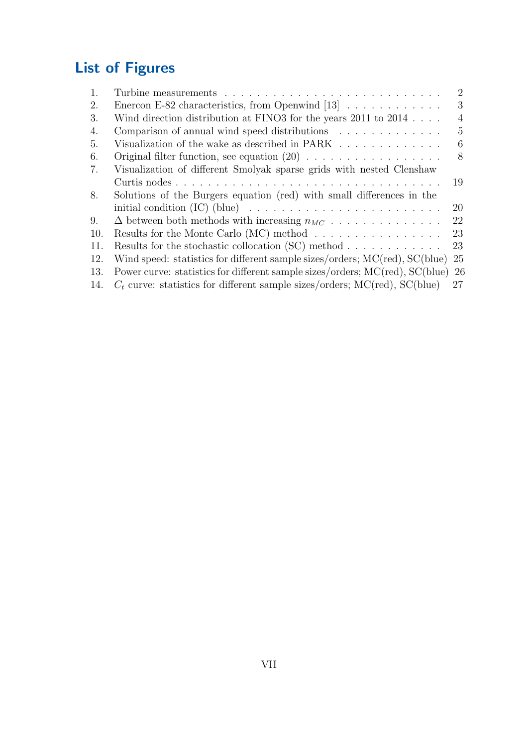# <span id="page-6-0"></span>List of Figures

| 1.  |                                                                                  | $\overline{2}$ |
|-----|----------------------------------------------------------------------------------|----------------|
| 2.  | Enercon E-82 characteristics, from Openwind $[13] \ldots \ldots \ldots \ldots$   | 3              |
| 3.  | Wind direction distribution at FINO3 for the years 2011 to 2014                  | $\overline{4}$ |
| 4.  | Comparison of annual wind speed distributions $\ldots \ldots \ldots \ldots$      | 5              |
| 5.  | Visualization of the wake as described in PARK                                   | 6              |
| 6.  |                                                                                  | 8              |
| 7.  | Visualization of different Smolyak sparse grids with nested Clenshaw             |                |
|     |                                                                                  | 19             |
| 8.  | Solutions of the Burgers equation (red) with small differences in the            |                |
|     |                                                                                  | 20             |
| 9.  | $\Delta$ between both methods with increasing $n_{MC}$                           | 22             |
| 10. | Results for the Monte Carlo (MC) method $\dots \dots \dots \dots \dots$          | 23             |
| 11. | Results for the stochastic collocation (SC) method $\ldots \ldots \ldots \ldots$ | 23             |
| 12. | Wind speed: statistics for different sample sizes/orders; MC(red), SC(blue)      | 25             |
| 13. | Power curve: statistics for different sample sizes/orders; MC(red), SC(blue) 26  |                |
| 14. | $C_t$ curve: statistics for different sample sizes/orders; MC(red), SC(blue)     | 27             |
|     |                                                                                  |                |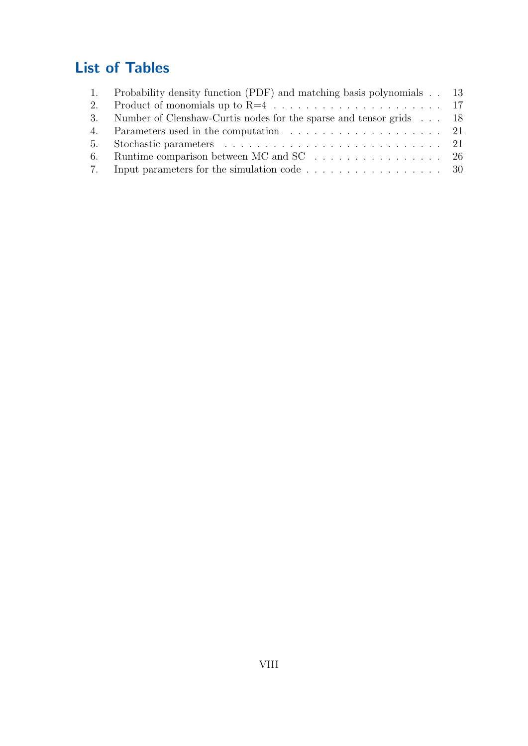# <span id="page-7-0"></span>List of Tables

| 1. | Probability density function (PDF) and matching basis polynomials 13                       |  |
|----|--------------------------------------------------------------------------------------------|--|
|    |                                                                                            |  |
|    | 3. Number of Clenshaw-Curtis nodes for the sparse and tensor grids 18                      |  |
|    |                                                                                            |  |
|    |                                                                                            |  |
|    | 6. Runtime comparison between MC and SC $\ldots$ 26                                        |  |
|    | 7. Input parameters for the simulation code $\dots \dots \dots \dots \dots \dots \dots$ 30 |  |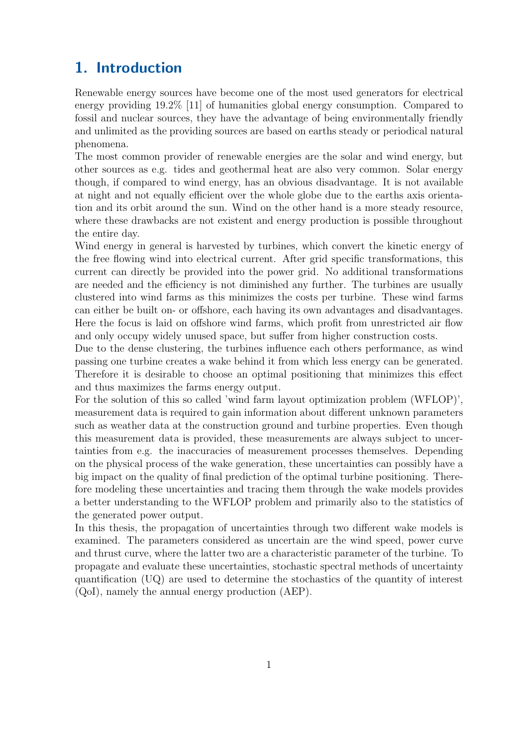# <span id="page-8-0"></span>1. Introduction

Renewable energy sources have become one of the most used generators for electrical energy providing 19.2% [\[11\]](#page-38-2) of humanities global energy consumption. Compared to fossil and nuclear sources, they have the advantage of being environmentally friendly and unlimited as the providing sources are based on earths steady or periodical natural phenomena.

The most common provider of renewable energies are the solar and wind energy, but other sources as e.g. tides and geothermal heat are also very common. Solar energy though, if compared to wind energy, has an obvious disadvantage. It is not available at night and not equally efficient over the whole globe due to the earths axis orientation and its orbit around the sun. Wind on the other hand is a more steady resource, where these drawbacks are not existent and energy production is possible throughout the entire day.

Wind energy in general is harvested by turbines, which convert the kinetic energy of the free flowing wind into electrical current. After grid specific transformations, this current can directly be provided into the power grid. No additional transformations are needed and the efficiency is not diminished any further. The turbines are usually clustered into wind farms as this minimizes the costs per turbine. These wind farms can either be built on- or offshore, each having its own advantages and disadvantages. Here the focus is laid on offshore wind farms, which profit from unrestricted air flow and only occupy widely unused space, but suffer from higher construction costs.

Due to the dense clustering, the turbines influence each others performance, as wind passing one turbine creates a wake behind it from which less energy can be generated. Therefore it is desirable to choose an optimal positioning that minimizes this effect and thus maximizes the farms energy output.

For the solution of this so called ['wind farm layout optimization problem \(WFLOP\)'](#page-5-5), measurement data is required to gain information about different unknown parameters such as weather data at the construction ground and turbine properties. Even though this measurement data is provided, these measurements are always subject to uncertainties from e.g. the inaccuracies of measurement processes themselves. Depending on the physical process of the wake generation, these uncertainties can possibly have a big impact on the quality of final prediction of the optimal turbine positioning. Therefore modeling these uncertainties and tracing them through the wake models provides a better understanding to the [WFLOP](#page-5-5) problem and primarily also to the statistics of the generated power output.

In this thesis, the propagation of uncertainties through two different wake models is examined. The parameters considered as uncertain are the wind speed, power curve and thrust curve, where the latter two are a characteristic parameter of the turbine. To propagate and evaluate these uncertainties, stochastic spectral methods of [uncertainty](#page-5-6) [quantification \(UQ\)](#page-5-6) are used to determine the stochastics of the [quantity of interest](#page-5-7) [\(QoI\),](#page-5-7) namely the [annual energy production \(AEP\).](#page-5-8)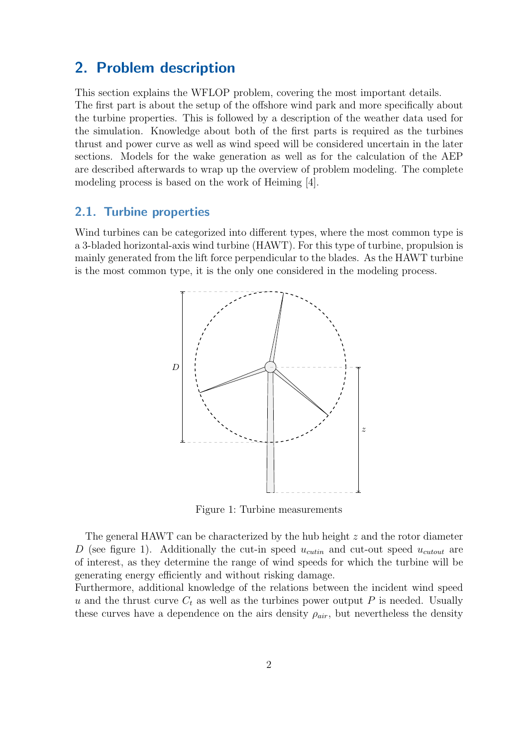## <span id="page-9-0"></span>2. Problem description

This section explains the [WFLOP](#page-5-5) problem, covering the most important details. The first part is about the setup of the offshore wind park and more specifically about the turbine properties. This is followed by a description of the weather data used for the simulation. Knowledge about both of the first parts is required as the turbines thrust and power curve as well as wind speed will be considered uncertain in the later sections. Models for the wake generation as well as for the calculation of the [AEP](#page-5-8) are described afterwards to wrap up the overview of problem modeling. The complete modeling process is based on the work of [Heiming \[4\]](#page-38-3).

### <span id="page-9-1"></span>2.1. Turbine properties

<span id="page-9-2"></span>Wind turbines can be categorized into different types, where the most common type is a 3-bladed [horizontal-axis wind turbine \(HAWT\).](#page-5-9) For this type of turbine, propulsion is mainly generated from the lift force perpendicular to the blades. As the [HAWT](#page-5-9) turbine is the most common type, it is the only one considered in the modeling process.



Figure 1: Turbine measurements

The general [HAWT](#page-5-9) can be characterized by the hub height z and the rotor diameter D (see figure [1\)](#page-9-2). Additionally the cut-in speed  $u_{cutin}$  and cut-out speed  $u_{cutout}$  are of interest, as they determine the range of wind speeds for which the turbine will be generating energy efficiently and without risking damage.

Furthermore, additional knowledge of the relations between the incident wind speed u and the thrust curve  $C_t$  as well as the turbines power output P is needed. Usually these curves have a dependence on the airs density  $\rho_{air}$ , but nevertheless the density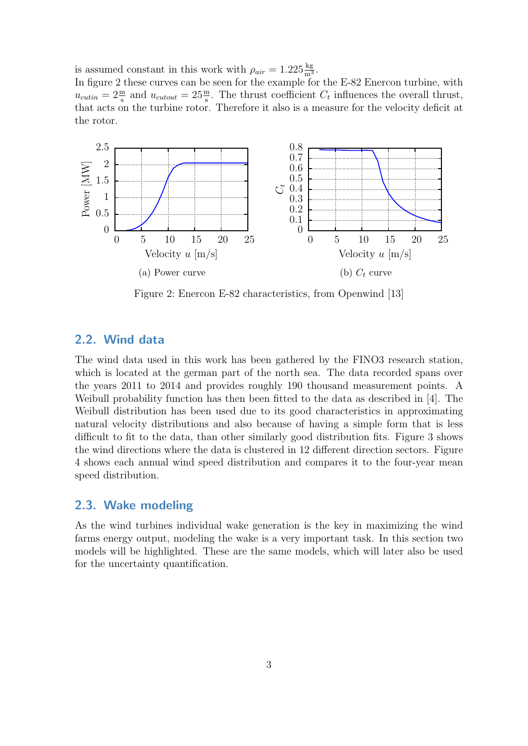is assumed constant in this work with  $\rho_{air} = 1.225 \frac{\text{kg}}{\text{m}^3}$ .

In figure [2](#page-10-2) these curves can be seen for the example for the E-82 Enercon turbine, with  $u_{cutin} = 2 \frac{\text{m}}{\text{s}}$  and  $u_{cutout} = 25 \frac{\text{m}}{\text{s}}$ . The thrust coefficient  $C_t$  influences the overall thrust, that acts on the turbine rotor. Therefore it also is a measure for the velocity deficit at the rotor.

<span id="page-10-2"></span>

Figure 2: Enercon E-82 characteristics, from Openwind [\[13\]](#page-38-1)

### <span id="page-10-0"></span>2.2. Wind data

The wind data used in this work has been gathered by the FINO3 research station, which is located at the german part of the north sea. The data recorded spans over the years 2011 to 2014 and provides roughly 190 thousand measurement points. A Weibull probability function has then been fitted to the data as described in [\[4\]](#page-38-3). The Weibull distribution has been used due to its good characteristics in approximating natural velocity distributions and also because of having a simple form that is less difficult to fit to the data, than other similarly good distribution fits. Figure [3](#page-11-1) shows the wind directions where the data is clustered in 12 different direction sectors. Figure [4](#page-12-0) shows each annual wind speed distribution and compares it to the four-year mean speed distribution.

### <span id="page-10-1"></span>2.3. Wake modeling

As the wind turbines individual wake generation is the key in maximizing the wind farms energy output, modeling the wake is a very important task. In this section two models will be highlighted. These are the same models, which will later also be used for the uncertainty quantification.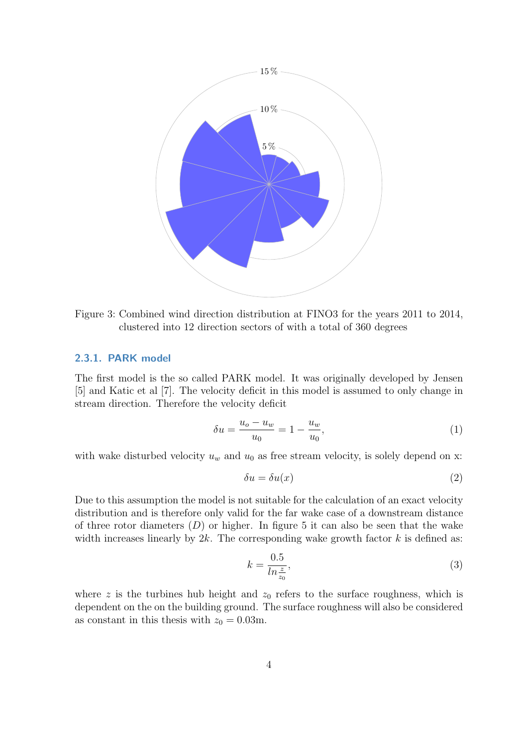<span id="page-11-1"></span>

Figure 3: Combined wind direction distribution at FINO3 for the years 2011 to 2014, clustered into 12 direction sectors of with a total of 360 degrees

#### <span id="page-11-0"></span>2.3.1. PARK model

The first model is the so called PARK model. It was originally developed by Jensen [\[5\]](#page-38-4) and Katic et al [\[7\]](#page-38-5). The velocity deficit in this model is assumed to only change in stream direction. Therefore the velocity deficit

<span id="page-11-2"></span>
$$
\delta u = \frac{u_o - u_w}{u_0} = 1 - \frac{u_w}{u_0},\tag{1}
$$

with wake disturbed velocity  $u_w$  and  $u_0$  as free stream velocity, is solely depend on x:

$$
\delta u = \delta u(x) \tag{2}
$$

Due to this assumption the model is not suitable for the calculation of an exact velocity distribution and is therefore only valid for the far wake case of a downstream distance of three rotor diameters  $(D)$  or higher. In figure 5 it can also be seen that the wake width increases linearly by  $2k$ . The corresponding wake growth factor k is defined as:

$$
k = \frac{0.5}{\ln \frac{z}{z_0}},\tag{3}
$$

where z is the turbines hub height and  $z_0$  refers to the surface roughness, which is dependent on the on the building ground. The surface roughness will also be considered as constant in this thesis with  $z_0 = 0.03$ m.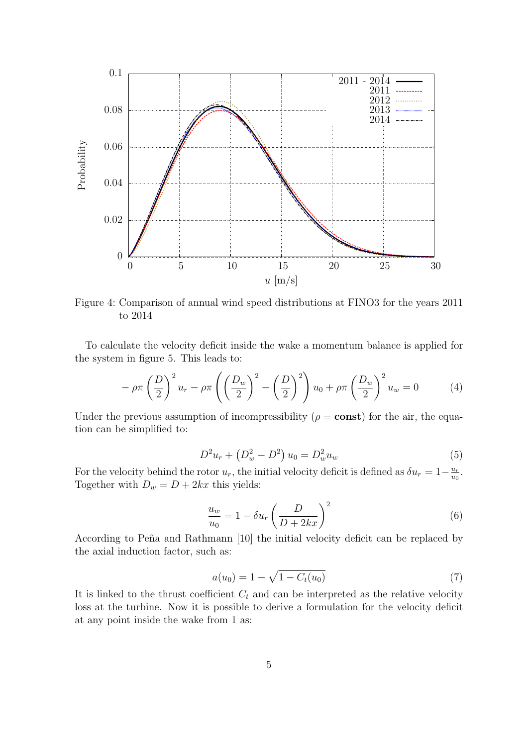<span id="page-12-0"></span>

Figure 4: Comparison of annual wind speed distributions at FINO3 for the years 2011 to 2014

To calculate the velocity deficit inside the wake a momentum balance is applied for the system in figure [5.](#page-13-0) This leads to:

$$
-\rho \pi \left(\frac{D}{2}\right)^2 u_r - \rho \pi \left(\left(\frac{D_w}{2}\right)^2 - \left(\frac{D}{2}\right)^2\right) u_0 + \rho \pi \left(\frac{D_w}{2}\right)^2 u_w = 0 \tag{4}
$$

Under the previous assumption of incompressibility ( $\rho = \text{const}$ ) for the air, the equation can be simplified to:

$$
D^2u_r + \left(D_w^2 - D^2\right)u_0 = D_w^2u_w \tag{5}
$$

For the velocity behind the rotor  $u_r$ , the initial velocity deficit is defined as  $\delta u_r = 1 - \frac{u_r}{u_c}$  $\frac{u_r}{u_0}$ . Together with  $D_w = D + 2kx$  this yields:

$$
\frac{u_w}{u_0} = 1 - \delta u_r \left(\frac{D}{D + 2kx}\right)^2 \tag{6}
$$

According to Peña and Rathmann [10] the initial velocity deficit can be replaced by the axial induction factor, such as:

<span id="page-12-1"></span>
$$
a(u_0) = 1 - \sqrt{1 - C_t(u_0)}
$$
\n(7)

It is linked to the thrust coefficient  $C_t$  and can be interpreted as the relative velocity loss at the turbine. Now it is possible to derive a formulation for the velocity deficit at any point inside the wake from [1](#page-11-2) as: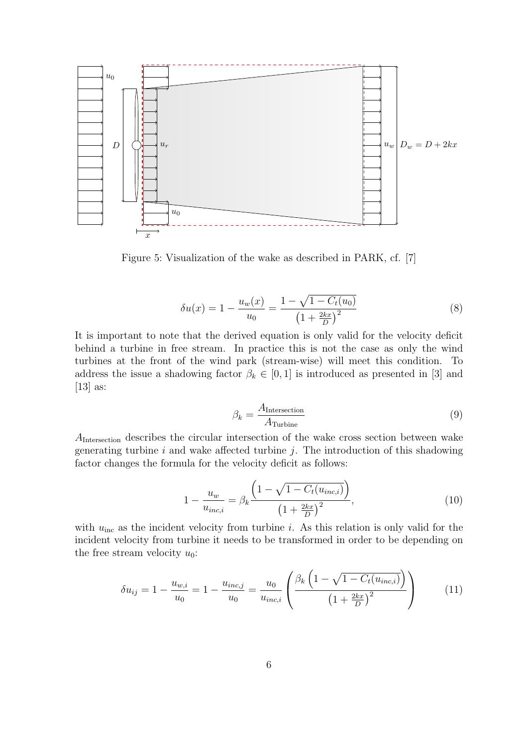<span id="page-13-0"></span>

Figure 5: Visualization of the wake as described in PARK, cf. [\[7\]](#page-38-5)

$$
\delta u(x) = 1 - \frac{u_w(x)}{u_0} = \frac{1 - \sqrt{1 - C_t(u_0)}}{\left(1 + \frac{2kx}{D}\right)^2}
$$
\n(8)

It is important to note that the derived equation is only valid for the velocity deficit behind a turbine in free stream. In practice this is not the case as only the wind turbines at the front of the wind park (stream-wise) will meet this condition. To address the issue a shadowing factor  $\beta_k \in [0,1]$  is introduced as presented in [\[3\]](#page-38-7) and [\[13\]](#page-38-1) as:

$$
\beta_k = \frac{A_{\text{Intersection}}}{A_{\text{Turbine}}} \tag{9}
$$

AIntersection describes the circular intersection of the wake cross section between wake generating turbine  $i$  and wake affected turbine  $j$ . The introduction of this shadowing factor changes the formula for the velocity deficit as follows:

$$
1 - \frac{u_w}{u_{inc,i}} = \beta_k \frac{\left(1 - \sqrt{1 - C_t(u_{inc,i})}\right)}{\left(1 + \frac{2kx}{D}\right)^2},\tag{10}
$$

with  $u_{inc}$  as the incident velocity from turbine i. As this relation is only valid for the incident velocity from turbine it needs to be transformed in order to be depending on the free stream velocity  $u_0$ :

$$
\delta u_{ij} = 1 - \frac{u_{w,i}}{u_0} = 1 - \frac{u_{inc,j}}{u_0} = \frac{u_0}{u_{inc,i}} \left( \frac{\beta_k \left( 1 - \sqrt{1 - C_t(u_{inc,i})} \right)}{\left( 1 + \frac{2kx}{D} \right)^2} \right)
$$
(11)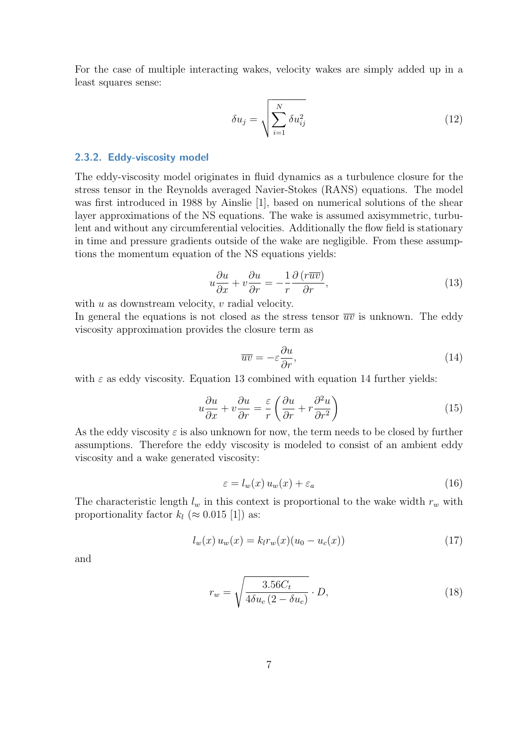For the case of multiple interacting wakes, velocity wakes are simply added up in a least squares sense:

$$
\delta u_j = \sqrt{\sum_{i=1}^N \delta u_{ij}^2}
$$
\n(12)

#### <span id="page-14-0"></span>2.3.2. Eddy-viscosity model

The eddy-viscosity model originates in fluid dynamics as a turbulence closure for the stress tensor in the Reynolds averaged Navier-Stokes (RANS) equations. The model was first introduced in 1988 by Ainslie [\[1\]](#page-38-8), based on numerical solutions of the shear layer approximations of the NS equations. The wake is assumed axisymmetric, turbulent and without any circumferential velocities. Additionally the flow field is stationary in time and pressure gradients outside of the wake are negligible. From these assumptions the momentum equation of the NS equations yields:

<span id="page-14-1"></span>
$$
u\frac{\partial u}{\partial x} + v\frac{\partial u}{\partial r} = -\frac{1}{r}\frac{\partial (r\overline{uv})}{\partial r},\tag{13}
$$

with  $u$  as downstream velocity,  $v$  radial velocity.

In general the equations is not closed as the stress tensor  $\overline{uv}$  is unknown. The eddy viscosity approximation provides the closure term as

<span id="page-14-2"></span>
$$
\overline{uv} = -\varepsilon \frac{\partial u}{\partial r},\tag{14}
$$

with  $\varepsilon$  as eddy viscosity. Equation [13](#page-14-1) combined with equation [14](#page-14-2) further yields:

$$
u\frac{\partial u}{\partial x} + v\frac{\partial u}{\partial r} = \frac{\varepsilon}{r} \left( \frac{\partial u}{\partial r} + r\frac{\partial^2 u}{\partial r^2} \right)
$$
 (15)

As the eddy viscosity  $\varepsilon$  is also unknown for now, the term needs to be closed by further assumptions. Therefore the eddy viscosity is modeled to consist of an ambient eddy viscosity and a wake generated viscosity:

$$
\varepsilon = l_w(x) u_w(x) + \varepsilon_a \tag{16}
$$

The characteristic length  $l_w$  in this context is proportional to the wake width  $r_w$  with proportionality factor  $k_l \approx 0.015$  [\[1\]](#page-38-8)) as:

$$
l_w(x) u_w(x) = k_l r_w(x) (u_0 - u_c(x))
$$
\n(17)

and

$$
r_w = \sqrt{\frac{3.56C_t}{4\delta u_c (2 - \delta u_c)}} \cdot D,\tag{18}
$$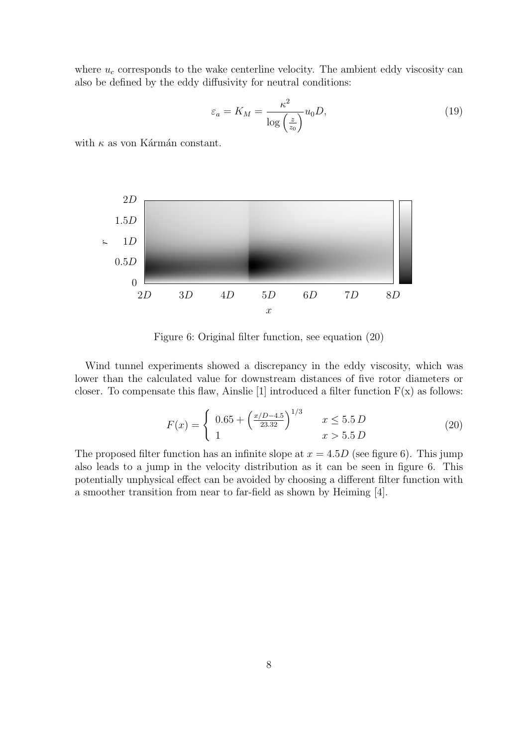where  $u_c$  corresponds to the wake centerline velocity. The ambient eddy viscosity can also be defined by the eddy diffusivity for neutral conditions:

$$
\varepsilon_a = K_M = \frac{\kappa^2}{\log\left(\frac{z}{z_0}\right)} u_0 D,\tag{19}
$$

with  $\kappa$  as von Kármán constant.

<span id="page-15-0"></span>

Figure 6: Original filter function, see equation [\(20\)](#page-15-1)

Wind tunnel experiments showed a discrepancy in the eddy viscosity, which was lower than the calculated value for downstream distances of five rotor diameters or closer. To compensate this flaw, Ainslie [\[1\]](#page-38-8) introduced a filter function  $F(x)$  as follows:

<span id="page-15-1"></span>
$$
F(x) = \begin{cases} 0.65 + \left(\frac{x/D - 4.5}{23.32}\right)^{1/3} & x \le 5.5 D\\ 1 & x > 5.5 D \end{cases}
$$
 (20)

The proposed filter function has an infinite slope at  $x = 4.5D$  (see figure [6\)](#page-15-0). This jump also leads to a jump in the velocity distribution as it can be seen in figure [6.](#page-15-0) This potentially unphysical effect can be avoided by choosing a different filter function with a smoother transition from near to far-field as shown by [Heiming \[4\]](#page-38-3).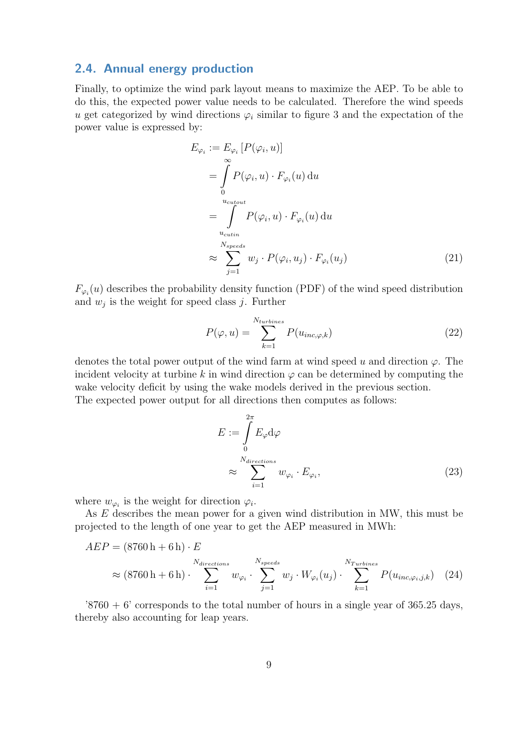### <span id="page-16-0"></span>2.4. Annual energy production

Finally, to optimize the wind park layout means to maximize the [AEP.](#page-5-8) To be able to do this, the expected power value needs to be calculated. Therefore the wind speeds u get categorized by wind directions  $\varphi_i$  similar to figure [3](#page-11-1) and the expectation of the power value is expressed by:

$$
E_{\varphi_i} := E_{\varphi_i} [P(\varphi_i, u)]
$$
  
= 
$$
\int_{0}^{\infty} P(\varphi_i, u) \cdot F_{\varphi_i}(u) du
$$
  
= 
$$
\int_{u_{\text{cutin}}}^{u_{\text{cutout}}} P(\varphi_i, u) \cdot F_{\varphi_i}(u) du
$$
  

$$
\approx \sum_{j=1}^{N_{speeds}} w_j \cdot P(\varphi_i, u_j) \cdot F_{\varphi_i}(u_j)
$$
 (21)

 $F_{\varphi_i}(u)$  describes the probability density function [\(PDF\)](#page-5-4) of the wind speed distribution and  $w_j$  is the weight for speed class j. Further

$$
P(\varphi, u) = \sum_{k=1}^{N_{turbines}} P(u_{inc, \varphi, k})
$$
\n(22)

denotes the total power output of the wind farm at wind speed u and direction  $\varphi$ . The incident velocity at turbine k in wind direction  $\varphi$  can be determined by computing the wake velocity deficit by using the wake models derived in the previous section. The expected power output for all directions then computes as follows:

$$
E := \int_{0}^{2\pi} E_{\varphi} d\varphi
$$
  

$$
\approx \sum_{i=1}^{N_{directions}} w_{\varphi_i} \cdot E_{\varphi_i},
$$
 (23)

where  $w_{\varphi_i}$  is the weight for direction  $\varphi_i$ .

As E describes the mean power for a given wind distribution in MW, this must be projected to the length of one year to get the [AEP](#page-5-8) measured in MWh:

$$
AEP = (8760 \text{ h} + 6 \text{ h}) \cdot E
$$
  

$$
\approx (8760 \text{ h} + 6 \text{ h}) \cdot \sum_{i=1}^{N_{directions}} w_{\varphi_i} \cdot \sum_{j=1}^{N_{speeds}} w_j \cdot W_{\varphi_i}(u_j) \cdot \sum_{k=1}^{N_{Turbines}} P(u_{inc,\varphi_i,j,k}) \quad (24)
$$

 $\sqrt{8760} + 6$ ' corresponds to the total number of hours in a single year of 365.25 days, thereby also accounting for leap years.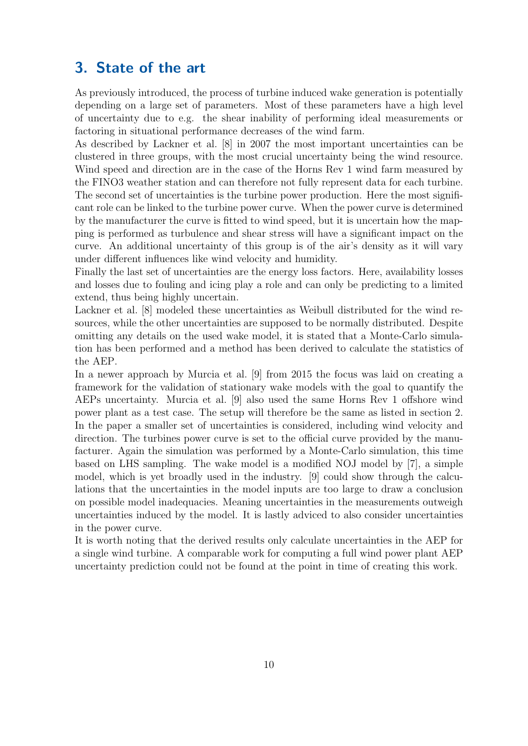### <span id="page-17-0"></span>3. State of the art

As previously introduced, the process of turbine induced wake generation is potentially depending on a large set of parameters. Most of these parameters have a high level of uncertainty due to e.g. the shear inability of performing ideal measurements or factoring in situational performance decreases of the wind farm.

As described by Lackner et al. [\[8\]](#page-38-9) in 2007 the most important uncertainties can be clustered in three groups, with the most crucial uncertainty being the wind resource. Wind speed and direction are in the case of the Horns Rev 1 wind farm measured by the FINO3 weather station and can therefore not fully represent data for each turbine. The second set of uncertainties is the turbine power production. Here the most significant role can be linked to the turbine power curve. When the power curve is determined by the manufacturer the curve is fitted to wind speed, but it is uncertain how the mapping is performed as turbulence and shear stress will have a significant impact on the curve. An additional uncertainty of this group is of the air's density as it will vary under different influences like wind velocity and humidity.

Finally the last set of uncertainties are the energy loss factors. Here, availability losses and losses due to fouling and icing play a role and can only be predicting to a limited extend, thus being highly uncertain.

Lackner et al. [\[8\]](#page-38-9) modeled these uncertainties as Weibull distributed for the wind resources, while the other uncertainties are supposed to be normally distributed. Despite omitting any details on the used wake model, it is stated that a Monte-Carlo simulation has been performed and a method has been derived to calculate the statistics of the [AEP.](#page-5-8)

In a newer approach by Murcia et al. [\[9\]](#page-38-10) from 2015 the focus was laid on creating a framework for the validation of stationary wake models with the goal to quantify the [AEPs](#page-5-8) uncertainty. Murcia et al. [\[9\]](#page-38-10) also used the same Horns Rev 1 offshore wind power plant as a test case. The setup will therefore be the same as listed in section [2.](#page-9-0) In the paper a smaller set of uncertainties is considered, including wind velocity and direction. The turbines power curve is set to the official curve provided by the manufacturer. Again the simulation was performed by a Monte-Carlo simulation, this time based on LHS sampling. The wake model is a modified NOJ model by [\[7\]](#page-38-5), a simple model, which is yet broadly used in the industry. [\[9\]](#page-38-10) could show through the calculations that the uncertainties in the model inputs are too large to draw a conclusion on possible model inadequacies. Meaning uncertainties in the measurements outweigh uncertainties induced by the model. It is lastly adviced to also consider uncertainties in the power curve.

It is worth noting that the derived results only calculate uncertainties in the [AEP](#page-5-8) for a single wind turbine. A comparable work for computing a full wind power plant [AEP](#page-5-8) uncertainty prediction could not be found at the point in time of creating this work.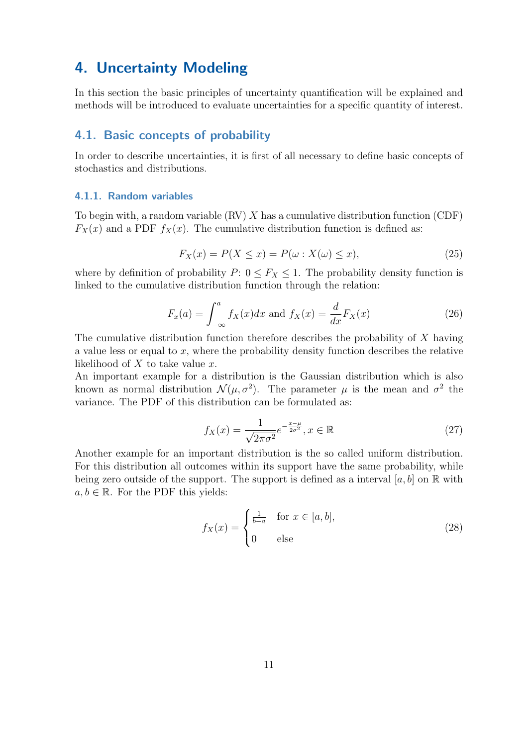## <span id="page-18-0"></span>4. Uncertainty Modeling

In this section the basic principles of uncertainty quantification will be explained and methods will be introduced to evaluate uncertainties for a specific quantity of interest.

### <span id="page-18-1"></span>4.1. Basic concepts of probability

In order to describe uncertainties, it is first of all necessary to define basic concepts of stochastics and distributions.

#### <span id="page-18-2"></span>4.1.1. Random variables

Tobegin with, a random variable  $(RV) X$  has a cumulative distribution function  $(CDF)$  $F_X(x)$  and a [PDF](#page-5-4)  $f_X(x)$ . The cumulative distribution function is defined as:

$$
F_X(x) = P(X \le x) = P(\omega : X(\omega) \le x),\tag{25}
$$

where by definition of probability  $P: 0 \le F_X \le 1$ . The probability density function is linked to the cumulative distribution function through the relation:

$$
F_x(a) = \int_{-\infty}^a f_X(x)dx
$$
 and 
$$
f_X(x) = \frac{d}{dx}F_X(x)
$$
 (26)

The cumulative distribution function therefore describes the probability of X having a value less or equal to x, where the probability density function describes the relative likelihood of  $X$  to take value  $x$ .

An important example for a distribution is the Gaussian distribution which is also known as normal distribution  $\mathcal{N}(\mu, \sigma^2)$ . The parameter  $\mu$  is the mean and  $\sigma^2$  the variance. The [PDF](#page-5-4) of this distribution can be formulated as:

$$
f_X(x) = \frac{1}{\sqrt{2\pi\sigma^2}} e^{-\frac{x-\mu}{2\sigma^2}}, x \in \mathbb{R}
$$
\n
$$
(27)
$$

Another example for an important distribution is the so called uniform distribution. For this distribution all outcomes within its support have the same probability, while being zero outside of the support. The support is defined as a interval [a, b] on  $\mathbb R$  with  $a, b \in \mathbb{R}$ . For the [PDF](#page-5-4) this yields:

$$
f_X(x) = \begin{cases} \frac{1}{b-a} & \text{for } x \in [a, b], \\ 0 & \text{else} \end{cases}
$$
 (28)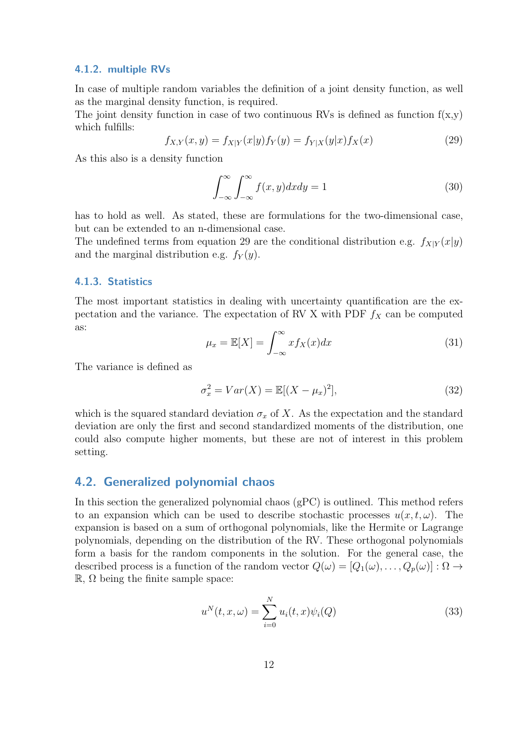#### <span id="page-19-0"></span>4.1.2. multiple RVs

In case of multiple random variables the definition of a joint density function, as well as the marginal density function, is required.

The joint density function in case of two continuous [RVs](#page-5-10) is defined as function  $f(x,y)$ which fulfills:

<span id="page-19-3"></span>
$$
f_{X,Y}(x,y) = f_{X|Y}(x|y) f_Y(y) = f_{Y|X}(y|x) f_X(x)
$$
\n(29)

As this also is a density function

$$
\int_{-\infty}^{\infty} \int_{-\infty}^{\infty} f(x, y) dx dy = 1
$$
\n(30)

has to hold as well. As stated, these are formulations for the two-dimensional case, but can be extended to an n-dimensional case.

The undefined terms from equation [29](#page-19-3) are the conditional distribution e.g.  $f_{X|Y}(x|y)$ and the marginal distribution e.g.  $f_Y(y)$ .

#### <span id="page-19-1"></span>4.1.3. Statistics

The most important statistics in dealing with uncertainty quantification are the ex-pectation and the variance. The expectation of [RV](#page-5-10) X with [PDF](#page-5-4)  $f_X$  can be computed as:

$$
\mu_x = \mathbb{E}[X] = \int_{-\infty}^{\infty} x f_X(x) dx \tag{31}
$$

The variance is defined as

$$
\sigma_x^2 = Var(X) = \mathbb{E}[(X - \mu_x)^2],\tag{32}
$$

which is the squared standard deviation  $\sigma_x$  of X. As the expectation and the standard deviation are only the first and second standardized moments of the distribution, one could also compute higher moments, but these are not of interest in this problem setting.

### <span id="page-19-2"></span>4.2. Generalized polynomial chaos

In this section the [generalized polynomial chaos \(gPC\)](#page-5-12) is outlined. This method refers to an expansion which can be used to describe stochastic processes  $u(x, t, \omega)$ . The expansion is based on a sum of orthogonal polynomials, like the Hermite or Lagrange polynomials, depending on the distribution of the [RV.](#page-5-10) These orthogonal polynomials form a basis for the random components in the solution. For the general case, the described process is a function of the random vector  $Q(\omega) = [Q_1(\omega), \ldots, Q_p(\omega)] : \Omega \to$  $\mathbb{R}, \Omega$  being the finite sample space:

$$
u^{N}(t, x, \omega) = \sum_{i=0}^{N} u_{i}(t, x)\psi_{i}(Q)
$$
\n(33)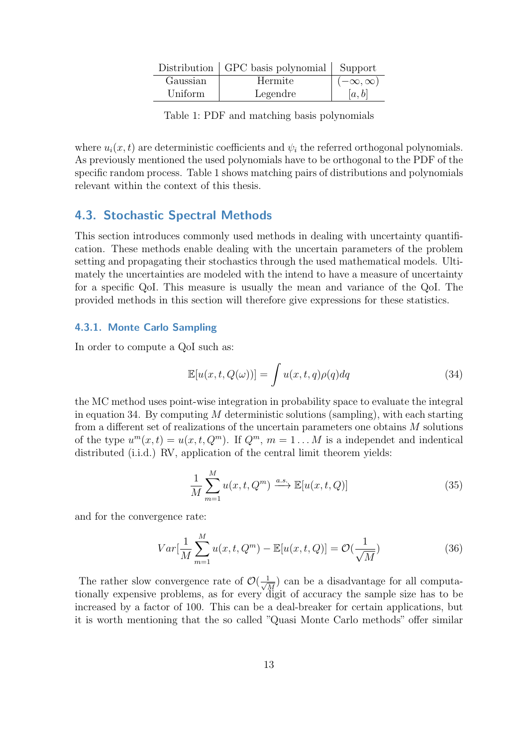<span id="page-20-2"></span>

|          | Distribution   GPC basis polynomial   Support |                    |
|----------|-----------------------------------------------|--------------------|
| Gaussian | Hermite                                       | $(-\infty,\infty)$ |
| Uniform  | Legendre                                      | [a, b]             |

Table 1: [PDF](#page-5-4) and matching basis polynomials

where  $u_i(x, t)$  are deterministic coefficients and  $\psi_i$  the referred orthogonal polynomials. As previously mentioned the used polynomials have to be orthogonal to the [PDF](#page-5-4) of the specific random process. Table [1](#page-20-2) shows matching pairs of distributions and polynomials relevant within the context of this thesis.

### <span id="page-20-0"></span>4.3. Stochastic Spectral Methods

This section introduces commonly used methods in dealing with uncertainty quantification. These methods enable dealing with the uncertain parameters of the problem setting and propagating their stochastics through the used mathematical models. Ultimately the uncertainties are modeled with the intend to have a measure of uncertainty for a specific [QoI.](#page-5-7) This measure is usually the mean and variance of the [QoI.](#page-5-7) The provided methods in this section will therefore give expressions for these statistics.

#### <span id="page-20-1"></span>4.3.1. Monte Carlo Sampling

In order to compute a [QoI](#page-5-7) such as:

<span id="page-20-3"></span>
$$
\mathbb{E}[u(x,t,Q(\omega))] = \int u(x,t,q)\rho(q)dq \qquad (34)
$$

the [MC](#page-5-2) method uses point-wise integration in probability space to evaluate the integral in equation [34.](#page-20-3) By computing  $M$  deterministic solutions (sampling), with each starting from a different set of realizations of the uncertain parameters one obtains M solutions of the type  $u^m(x,t) = u(x,t,Q^m)$ . If  $Q^m$ ,  $m = 1...M$  is a [independet and indentical](#page-5-13) [distributed \(i.i.d.\)](#page-5-13) [RV,](#page-5-10) application of the central limit theorem yields:

$$
\frac{1}{M} \sum_{m=1}^{M} u(x, t, Q^m) \xrightarrow{a.s.} \mathbb{E}[u(x, t, Q)] \tag{35}
$$

and for the convergence rate:

$$
Var[\frac{1}{M}\sum_{m=1}^{M}u(x,t,Q^m) - \mathbb{E}[u(x,t,Q)] = \mathcal{O}(\frac{1}{\sqrt{M}})
$$
\n(36)

The rather slow convergence rate of  $\mathcal{O}(\frac{1}{\sqrt{2}})$  $\frac{1}{M}$  can be a disadvantage for all computationally expensive problems, as for every digit of accuracy the sample size has to be increased by a factor of 100. This can be a deal-breaker for certain applications, but it is worth mentioning that the so called "Quasi Monte Carlo methods" offer similar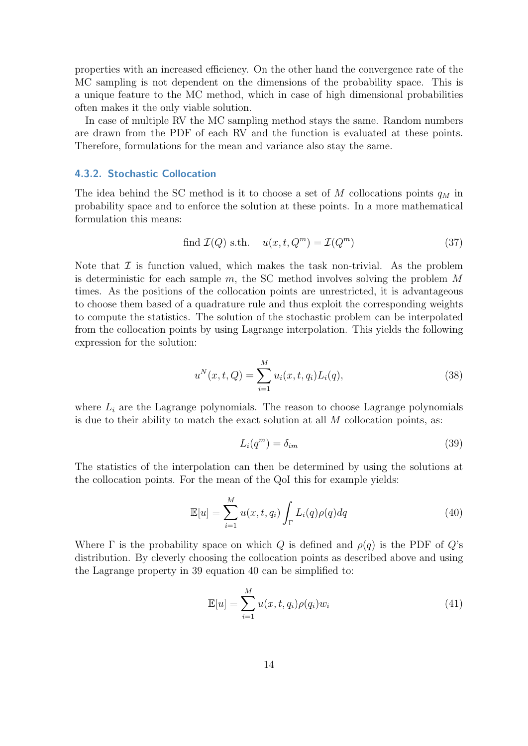properties with an increased efficiency. On the other hand the convergence rate of the [MC](#page-5-2) sampling is not dependent on the dimensions of the probability space. This is a unique feature to the [MC](#page-5-2) method, which in case of high dimensional probabilities often makes it the only viable solution.

In case of multiple [RV](#page-5-10) the [MC](#page-5-2) sampling method stays the same. Random numbers are drawn from the [PDF](#page-5-4) of each [RV](#page-5-10) and the function is evaluated at these points. Therefore, formulations for the mean and variance also stay the same.

#### <span id="page-21-0"></span>4.3.2. Stochastic Collocation

The idea behind the [SC](#page-5-3) method is it to choose a set of M collocations points  $q_M$  in probability space and to enforce the solution at these points. In a more mathematical formulation this means:

find 
$$
\mathcal{I}(Q)
$$
 s.th.  $u(x, t, Q^m) = \mathcal{I}(Q^m)$  (37)

Note that  $\mathcal I$  is function valued, which makes the task non-trivial. As the problem is deterministic for each sample  $m$ , the [SC](#page-5-3) method involves solving the problem  $M$ times. As the positions of the collocation points are unrestricted, it is advantageous to choose them based of a quadrature rule and thus exploit the corresponding weights to compute the statistics. The solution of the stochastic problem can be interpolated from the collocation points by using Lagrange interpolation. This yields the following expression for the solution:

$$
u^{N}(x,t,Q) = \sum_{i=1}^{M} u_{i}(x,t,q_{i})L_{i}(q),
$$
\n(38)

where  $L_i$  are the Lagrange polynomials. The reason to choose Lagrange polynomials is due to their ability to match the exact solution at all  $M$  collocation points, as:

<span id="page-21-1"></span>
$$
L_i(q^m) = \delta_{im} \tag{39}
$$

The statistics of the interpolation can then be determined by using the solutions at the collocation points. For the mean of the [QoI](#page-5-7) this for example yields:

<span id="page-21-2"></span>
$$
\mathbb{E}[u] = \sum_{i=1}^{M} u(x, t, q_i) \int_{\Gamma} L_i(q) \rho(q) dq \qquad (40)
$$

Where  $\Gamma$  is the probability space on which Q is defined and  $\rho(q)$  is the [PDF](#page-5-4) of Q's distribution. By cleverly choosing the collocation points as described above and using the Lagrange property in [39](#page-21-1) equation [40](#page-21-2) can be simplified to:

$$
\mathbb{E}[u] = \sum_{i=1}^{M} u(x, t, q_i) \rho(q_i) w_i \tag{41}
$$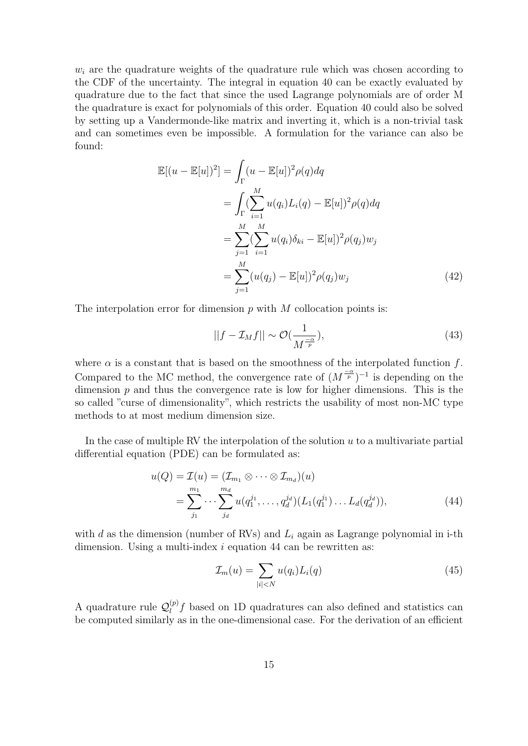$w_i$  are the quadrature weights of the quadrature rule which was chosen according to the [CDF](#page-5-11) of the uncertainty. The integral in equation [40](#page-21-2) can be exactly evaluated by quadrature due to the fact that since the used Lagrange polynomials are of order M the quadrature is exact for polynomials of this order. Equation [40](#page-21-2) could also be solved by setting up a Vandermonde-like matrix and inverting it, which is a non-trivial task and can sometimes even be impossible. A formulation for the variance can also be found:

$$
\mathbb{E}[(u - \mathbb{E}[u])^2] = \int_{\Gamma} (u - \mathbb{E}[u])^2 \rho(q) dq
$$
  
\n
$$
= \int_{\Gamma} (\sum_{i=1}^M u(q_i) L_i(q) - \mathbb{E}[u])^2 \rho(q) dq
$$
  
\n
$$
= \sum_{j=1}^M (\sum_{i=1}^M u(q_i) \delta_{ki} - \mathbb{E}[u])^2 \rho(q_j) w_j
$$
  
\n
$$
= \sum_{j=1}^M (u(q_j) - \mathbb{E}[u])^2 \rho(q_j) w_j
$$
 (42)

The interpolation error for dimension  $p$  with  $M$  collocation points is:

$$
||f - \mathcal{I}_M f|| \sim \mathcal{O}(\frac{1}{M^{\frac{-\alpha}{p}}}),\tag{43}
$$

where  $\alpha$  is a constant that is based on the smoothness of the interpolated function f. Compared to the [MC](#page-5-2) method, the convergence rate of  $(M^{\frac{-\alpha}{p}})^{-1}$  is depending on the dimension  $p$  and thus the convergence rate is low for higher dimensions. This is the so called "curse of dimensionality", which restricts the usability of most non-MC type methods to at most medium dimension size.

In the case of multiple [RV](#page-5-10) the interpolation of the solution  $u$  to a multivariate [partial](#page-5-14) [differential equation \(PDE\)](#page-5-14) can be formulated as:

$$
u(Q) = \mathcal{I}(u) = (\mathcal{I}_{m_1} \otimes \cdots \otimes \mathcal{I}_{m_d})(u)
$$
  
= 
$$
\sum_{j_1}^{m_1} \cdots \sum_{j_d}^{m_d} u(q_1^{j_1}, \ldots, q_d^{j_d})(L_1(q_1^{j_1}) \ldots L_d(q_d^{j_d})),
$$
 (44)

with d as the dimension (number of [RVs](#page-5-10)) and  $L<sub>i</sub>$  again as Lagrange polynomial in i-th dimension. Using a multi-index  $i$  equation [44](#page-22-0) can be rewritten as:

<span id="page-22-0"></span>
$$
\mathcal{I}_m(u) = \sum_{|i| < N} u(q_i) L_i(q) \tag{45}
$$

A quadrature rule  $\mathcal{Q}_l^{(p)}$  $\ell_l^{(p)}$  based on 1D quadratures can also defined and statistics can be computed similarly as in the one-dimensional case. For the derivation of an efficient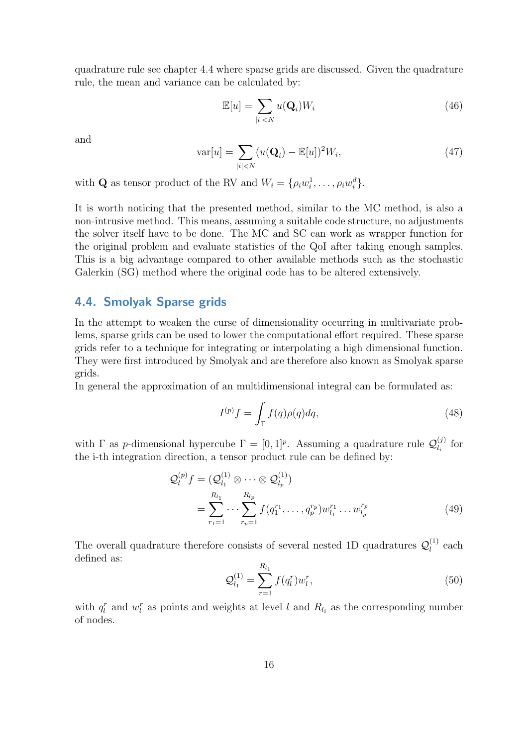quadrature rule see chapter [4.4](#page-23-0) where sparse grids are discussed. Given the quadrature rule, the mean and variance can be calculated by:

$$
\mathbb{E}[u] = \sum_{|i| < N} u(\mathbf{Q}_i) W_i \tag{46}
$$

and

$$
\text{var}[u] = \sum_{|i| < N} (u(\mathbf{Q}_i) - \mathbb{E}[u])^2 W_i,\tag{47}
$$

with **Q** as tensor product of the [RV](#page-5-10) and  $W_i = \{ \rho_i w_i^1, \dots, \rho_i w_i^d \}.$ 

It is worth noticing that the presented method, similar to the [MC](#page-5-2) method, is also a non-intrusive method. This means, assuming a suitable code structure, no adjustments the solver itself have to be done. The [MC](#page-5-2) and [SC](#page-5-3) can work as wrapper function for the original problem and evaluate statistics of the [QoI](#page-5-7) after taking enough samples. This is a big advantage compared to other available methods such as the [stochastic](#page-5-15) [Galerkin \(SG\)](#page-5-15) method where the original code has to be altered extensively.

### <span id="page-23-0"></span>4.4. Smolyak Sparse grids

In the attempt to weaken the curse of dimensionality occurring in multivariate problems, sparse grids can be used to lower the computational effort required. These sparse grids refer to a technique for integrating or interpolating a high dimensional function. They were first introduced by Smolyak and are therefore also known as Smolyak sparse grids.

In general the approximation of an multidimensional integral can be formulated as:

$$
I^{(p)}f = \int_{\Gamma} f(q)\rho(q)dq,
$$
\n(48)

with  $\Gamma$  as p-dimensional hypercube  $\Gamma = [0,1]^p$ . Assuming a quadrature rule  $\mathcal{Q}_L^{(j)}$  $\bigcup_{l_i}^{(J)}$  for the i-th integration direction, a tensor product rule can be defined by:

$$
\mathcal{Q}_l^{(p)} f = (\mathcal{Q}_{l_1}^{(1)} \otimes \cdots \otimes \mathcal{Q}_{l_p}^{(1)})
$$
  
= 
$$
\sum_{r_1=1}^{R_{l_1}} \cdots \sum_{r_p=1}^{R_{l_p}} f(q_1^{r_1}, \ldots, q_p^{r_p}) w_{l_1}^{r_1} \ldots w_{l_p}^{r_p}
$$
 (49)

The overall quadrature therefore consists of several nested 1D quadratures  $\mathcal{Q}_l^{(1)}$  $l_l^{(1)}$  each defined as:

<span id="page-23-1"></span>
$$
\mathcal{Q}_{l_1}^{(1)} = \sum_{r=1}^{R_{l_1}} f(q_l^r) w_l^r,
$$
\n(50)

with  $q_l^r$  and  $w_l^r$  as points and weights at level l and  $R_{l_i}$  as the corresponding number of nodes.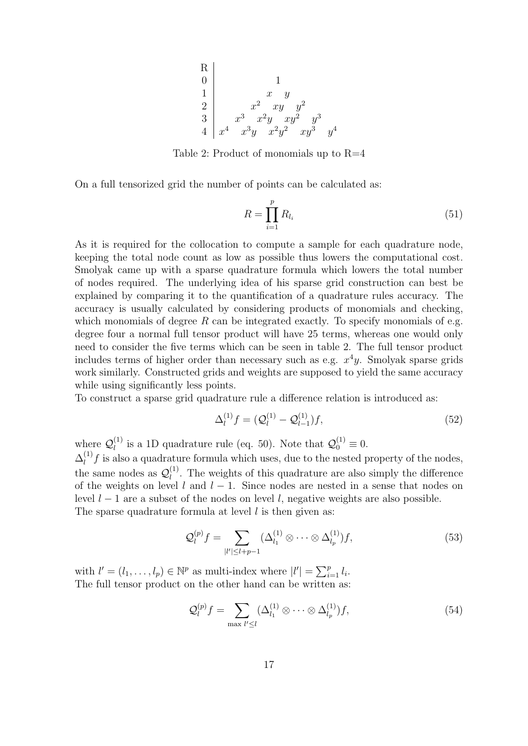<span id="page-24-0"></span>

Table 2: Product of monomials up to  $R=4$ 

On a full tensorized grid the number of points can be calculated as:

$$
R = \prod_{i=1}^{p} R_{l_i} \tag{51}
$$

As it is required for the collocation to compute a sample for each quadrature node, keeping the total node count as low as possible thus lowers the computational cost. Smolyak came up with a sparse quadrature formula which lowers the total number of nodes required. The underlying idea of his sparse grid construction can best be explained by comparing it to the quantification of a quadrature rules accuracy. The accuracy is usually calculated by considering products of monomials and checking, which monomials of degree R can be integrated exactly. To specify monomials of e.g. degree four a normal full tensor product will have 25 terms, whereas one would only need to consider the five terms which can be seen in table [2.](#page-24-0) The full tensor product includes terms of higher order than necessary such as e.g.  $x^4y$ . Smolyak sparse grids work similarly. Constructed grids and weights are supposed to yield the same accuracy while using significantly less points.

To construct a sparse grid quadrature rule a difference relation is introduced as:

$$
\Delta_l^{(1)}f = (Q_l^{(1)} - Q_{l-1}^{(1)})f,\tag{52}
$$

where  $\mathcal{Q}_l^{(1)}$  $\mathcal{Q}_l^{(1)}$  is a 1D quadrature rule (eq. [50\)](#page-23-1). Note that  $\mathcal{Q}_0^{(1)} \equiv 0$ .

 $\Delta_l^{(1)}$  $\ell_l^{(1)}$  is also a quadrature formula which uses, due to the nested property of the nodes, the same nodes as  $\mathcal{Q}_l^{(1)}$  $\mu_l^{(1)}$ . The weights of this quadrature are also simply the difference of the weights on level l and  $l - 1$ . Since nodes are nested in a sense that nodes on level  $l - 1$  are a subset of the nodes on level l, negative weights are also possible. The sparse quadrature formula at level  $l$  is then given as:

$$
\mathcal{Q}_l^{(p)}f = \sum_{|l'| \le l+p-1} (\Delta_{l_1}^{(1)} \otimes \cdots \otimes \Delta_{l_p}^{(1)})f,\tag{53}
$$

with  $l' = (l_1, \ldots, l_p) \in \mathbb{N}^p$  as multi-index where  $|l'| = \sum_{i=1}^p l_i$ . The full tensor product on the other hand can be written as:

$$
\mathcal{Q}_l^{(p)}f = \sum_{\max l' \le l} (\Delta_{l_1}^{(1)} \otimes \cdots \otimes \Delta_{l_p}^{(1)})f,\tag{54}
$$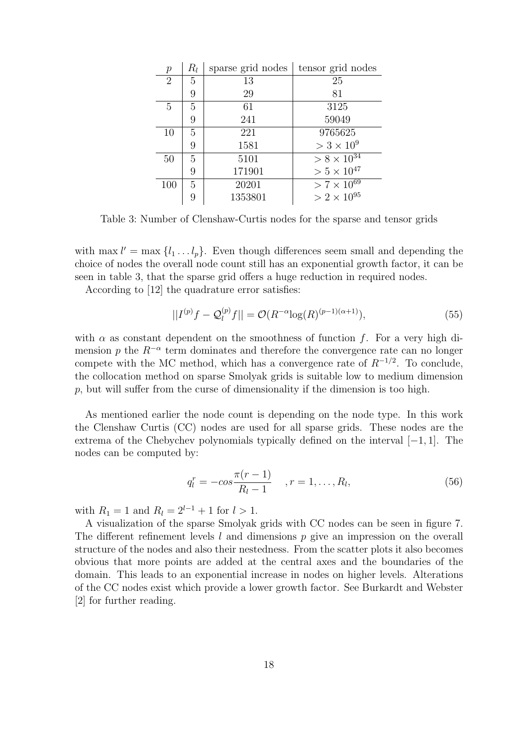<span id="page-25-0"></span>

| $\,p$          | $R_l$ | sparse grid nodes | tensor grid nodes               |
|----------------|-------|-------------------|---------------------------------|
| $\overline{2}$ | 5     | 13                | 25                              |
|                | 9     | 29                | 81                              |
| 5              | 5     | 61                | 3125                            |
|                | 9     | 241               | 59049                           |
| 10             | 5     | 221               | 9765625                         |
|                | 9     | 1581              | $>$ 3 $\times$ 10 <sup>9</sup>  |
| 50             | 5     | 5101              | $> 8 \times \overline{10^{34}}$ |
|                | 9     | 171901            | $> 5 \times 10^{47}$            |
| 100            | 5     | 20201             | $> 7 \times 10^{69}$            |
|                |       | 1353801           | $> 2 \times 10^{95}$            |

Table 3: Number of Clenshaw-Curtis nodes for the sparse and tensor grids

with max  $l' = \max \{l_1 \dots l_p\}$ . Even though differences seem small and depending the choice of nodes the overall node count still has an exponential growth factor, it can be seen in table [3,](#page-25-0) that the sparse grid offers a huge reduction in required nodes.

According to [\[12\]](#page-38-11) the quadrature error satisfies:

$$
||I^{(p)}f - Q_l^{(p)}f|| = \mathcal{O}(R^{-\alpha}\log(R)^{(p-1)(\alpha+1)}),
$$
\n(55)

with  $\alpha$  as constant dependent on the smoothness of function f. For a very high dimension p the  $R^{-\alpha}$  term dominates and therefore the convergence rate can no longer compete with the [MC](#page-5-2) method, which has a convergence rate of  $R^{-1/2}$ . To conclude, the collocation method on sparse Smolyak grids is suitable low to medium dimension p, but will suffer from the curse of dimensionality if the dimension is too high.

As mentioned earlier the node count is depending on the node type. In this work the [Clenshaw Curtis \(CC\)](#page-5-16) nodes are used for all sparse grids. These nodes are the extrema of the Chebychev polynomials typically defined on the interval [−1, 1]. The nodes can be computed by:

$$
q_l^r = -\cos\frac{\pi(r-1)}{R_l - 1}, \quad r = 1, \dots, R_l,
$$
\n(56)

with  $R_1 = 1$  and  $R_l = 2^{l-1} + 1$  for  $l > 1$ .

A visualization of the sparse Smolyak grids with [CC](#page-5-16) nodes can be seen in figure [7.](#page-26-0) The different refinement levels l and dimensions p give an impression on the overall structure of the nodes and also their nestedness. From the scatter plots it also becomes obvious that more points are added at the central axes and the boundaries of the domain. This leads to an exponential increase in nodes on higher levels. Alterations of the [CC](#page-5-16) nodes exist which provide a lower growth factor. See Burkardt and Webster [\[2\]](#page-38-12) for further reading.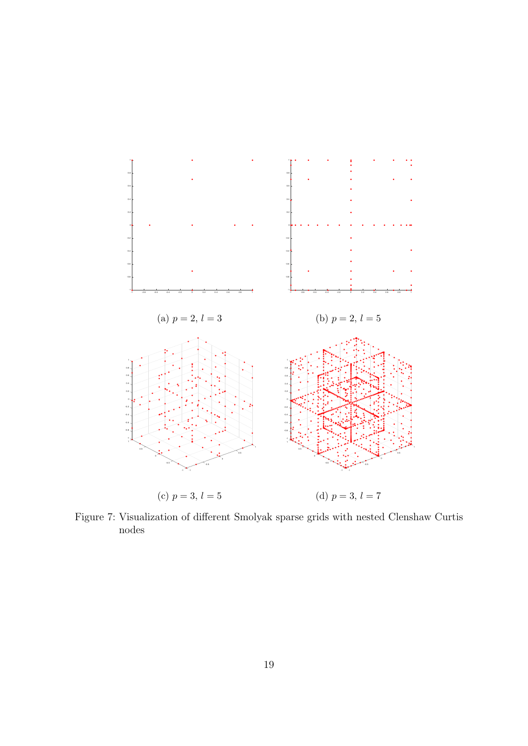<span id="page-26-0"></span>

Figure 7: Visualization of different Smolyak sparse grids with nested Clenshaw Curtis nodes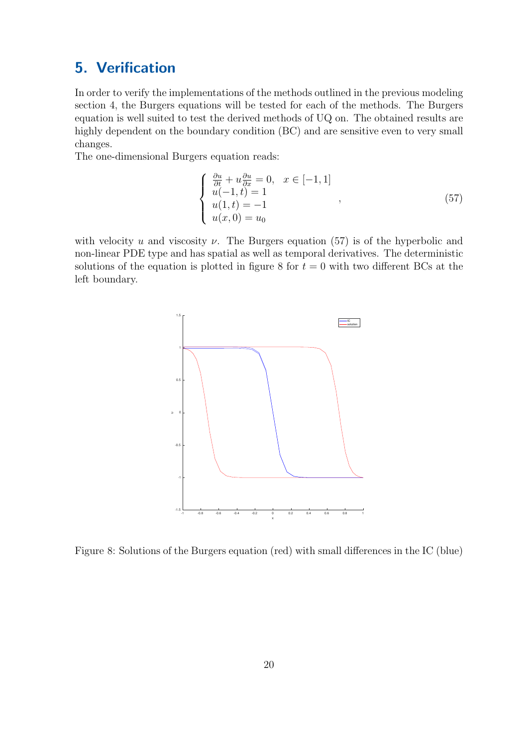# <span id="page-27-0"></span>5. Verification

In order to verify the implementations of the methods outlined in the previous modeling section [4,](#page-18-0) the Burgers equations will be tested for each of the methods. The Burgers equation is well suited to test the derived methods of [UQ](#page-5-6) on. The obtained results are highly dependent on the [boundary condition \(BC\)](#page-5-17) and are sensitive even to very small changes.

The one-dimensional Burgers equation reads:

<span id="page-27-2"></span>
$$
\begin{cases}\n\frac{\partial u}{\partial t} + u \frac{\partial u}{\partial x} = 0, & x \in [-1, 1] \\
u(-1, t) = 1 \\
u(1, t) = -1 \\
u(x, 0) = u_0\n\end{cases}
$$
\n(57)

<span id="page-27-1"></span>with velocity u and viscosity  $\nu$ . The Burgers equation [\(57\)](#page-27-2) is of the hyperbolic and non-linear [PDE](#page-5-14) type and has spatial as well as temporal derivatives. The deterministic solutions of the equation is plotted in figure [8](#page-27-1) for  $t = 0$  with two different [BCs](#page-5-17) at the left boundary.



Figure 8: Solutions of the Burgers equation (red) with small differences in the [IC](#page-5-1) (blue)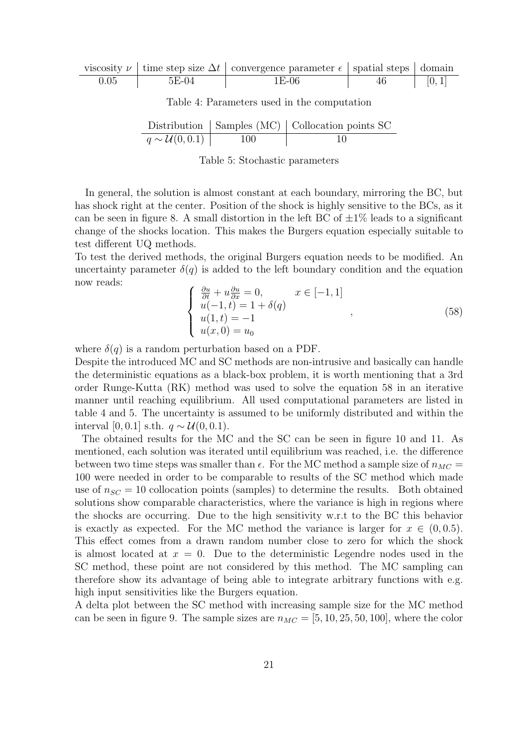<span id="page-28-1"></span><span id="page-28-0"></span>

|      |       | viscosity $\nu$   time step size $\Delta t$   convergence parameter $\epsilon$   spatial steps   domain |    |        |
|------|-------|---------------------------------------------------------------------------------------------------------|----|--------|
| 0.05 | 5E-04 | 1E-06                                                                                                   | 46 | [0, 1] |

Table 4: Parameters used in the computation

|                             |     | Distribution $\vert$ Samples (MC) $\vert$ Collocation points SC |
|-----------------------------|-----|-----------------------------------------------------------------|
| $q \sim \mathcal{U}(0,0.1)$ | 100 |                                                                 |

Table 5: Stochastic parameters

In general, the solution is almost constant at each boundary, mirroring the [BC,](#page-5-17) but has shock right at the center. Position of the shock is highly sensitive to the [BCs](#page-5-17), as it can be seen in figure [8.](#page-27-1) A small distortion in the left [BC](#page-5-17) of  $\pm 1\%$  leads to a significant change of the shocks location. This makes the Burgers equation especially suitable to test different [UQ](#page-5-6) methods.

To test the derived methods, the original Burgers equation needs to be modified. An uncertainty parameter  $\delta(q)$  is added to the left boundary condition and the equation now reads:

<span id="page-28-2"></span>
$$
\begin{cases}\n\frac{\partial u}{\partial t} + u \frac{\partial u}{\partial x} = 0, & x \in [-1, 1] \\
u(-1, t) = 1 + \delta(q) \\
u(1, t) = -1 \\
u(x, 0) = u_0\n\end{cases}
$$
\n(58)

where  $\delta(q)$  is a random perturbation based on a [PDF.](#page-5-4)

Despite the introduced [MC](#page-5-2) and [SC](#page-5-3) methods are non-intrusive and basically can handle the deterministic equations as a black-box problem, it is worth mentioning that a 3rd order [Runge-Kutta \(RK\)](#page-5-18) method was used to solve the equation [58](#page-28-2) in an iterative manner until reaching equilibrium. All used computational parameters are listed in table [4](#page-28-0) and [5.](#page-28-1) The uncertainty is assumed to be uniformly distributed and within the interval [0, 0.1] s.th.  $q \sim \mathcal{U}(0, 0.1)$ .

The obtained results for the [MC](#page-5-2) and the [SC](#page-5-3) can be seen in figure [10](#page-30-0) and [11.](#page-30-1) As mentioned, each solution was iterated until equilibrium was reached, i.e. the difference between two time steps was smaller than  $\epsilon$ . For the [MC](#page-5-2) method a sample size of  $n_{MC}$ 100 were needed in order to be comparable to results of the [SC](#page-5-3) method which made use of  $n_{SC} = 10$  collocation points (samples) to determine the results. Both obtained solutions show comparable characteristics, where the variance is high in regions where the shocks are occurring. Due to the high sensitivity w.r.t to the [BC](#page-5-17) this behavior is exactly as expected. For the [MC](#page-5-2) method the variance is larger for  $x \in (0, 0.5)$ . This effect comes from a drawn random number close to zero for which the shock is almost located at  $x = 0$ . Due to the deterministic Legendre nodes used in the [SC](#page-5-3) method, these point are not considered by this method. The [MC](#page-5-2) sampling can therefore show its advantage of being able to integrate arbitrary functions with e.g. high input sensitivities like the Burgers equation.

A delta plot between the [SC](#page-5-3) method with increasing sample size for the [MC](#page-5-2) method can be seen in figure [9.](#page-29-0) The sample sizes are  $n_{MC} = [5, 10, 25, 50, 100]$ , where the color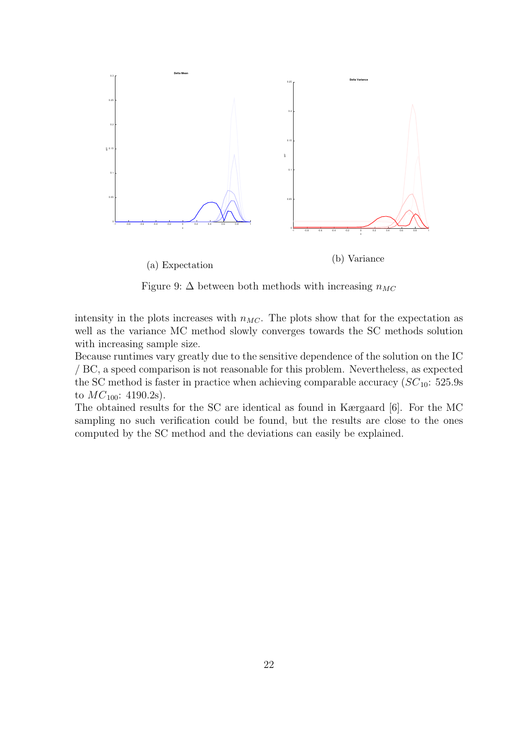<span id="page-29-0"></span>

Figure 9:  $\Delta$  between both methods with increasing  $n_{MC}$ 

intensity in the plots increases with  $n_{MC}$ . The plots show that for the expectation as well as the variance [MC](#page-5-2) method slowly converges towards the [SC](#page-5-3) methods solution with increasing sample size.

Because runtimes vary greatly due to the sensitive dependence of the solution on the [IC](#page-5-1) / [BC,](#page-5-17) a speed comparison is not reasonable for this problem. Nevertheless, as expected the [SC](#page-5-3) method is faster in practice when achieving comparable accuracy  $SC_{10}$  $SC_{10}$ : 525.9s to  $MC_{100}$  $MC_{100}$ : 4190.2s).

The obtained results for the [SC](#page-5-3) are identical as found in Kærgaard [\[6\]](#page-38-13). For the [MC](#page-5-2) sampling no such verification could be found, but the results are close to the ones computed by the [SC](#page-5-3) method and the deviations can easily be explained.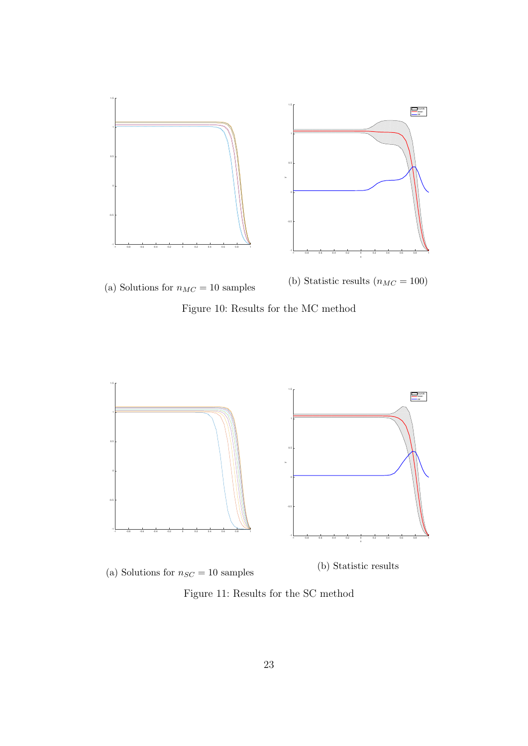<span id="page-30-0"></span>

Figure 10: Results for the [MC](#page-5-2) method

<span id="page-30-1"></span>

Figure 11: Results for the [SC](#page-5-3) method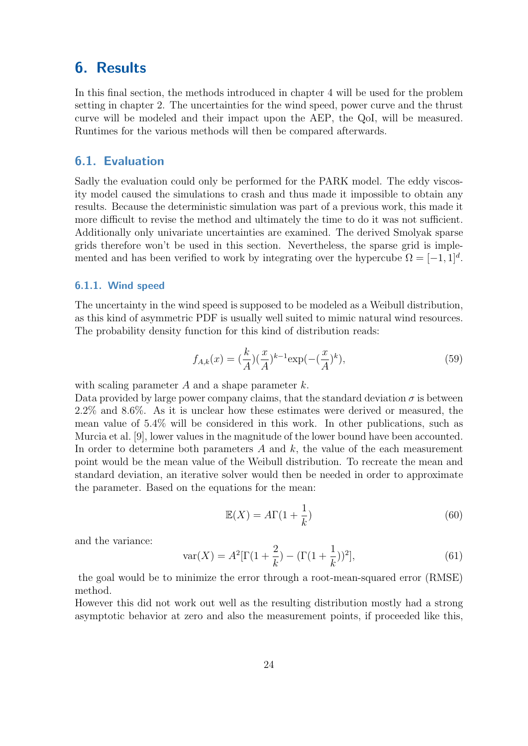## <span id="page-31-0"></span>6. Results

In this final section, the methods introduced in chapter [4](#page-18-0) will be used for the problem setting in chapter [2.](#page-9-0) The uncertainties for the wind speed, power curve and the thrust curve will be modeled and their impact upon the [AEP,](#page-5-8) the [QoI,](#page-5-7) will be measured. Runtimes for the various methods will then be compared afterwards.

### <span id="page-31-1"></span>6.1. Evaluation

Sadly the evaluation could only be performed for the PARK model. The eddy viscosity model caused the simulations to crash and thus made it impossible to obtain any results. Because the deterministic simulation was part of a previous work, this made it more difficult to revise the method and ultimately the time to do it was not sufficient. Additionally only univariate uncertainties are examined. The derived Smolyak sparse grids therefore won't be used in this section. Nevertheless, the sparse grid is implemented and has been verified to work by integrating over the hypercube  $\Omega = [-1, 1]^d$ .

#### <span id="page-31-2"></span>6.1.1. Wind speed

The uncertainty in the wind speed is supposed to be modeled as a Weibull distribution, as this kind of asymmetric [PDF](#page-5-4) is usually well suited to mimic natural wind resources. The probability density function for this kind of distribution reads:

$$
f_{A,k}(x) = \left(\frac{k}{A}\right) \left(\frac{x}{A}\right)^{k-1} \exp\left(-\left(\frac{x}{A}\right)^k\right),\tag{59}
$$

with scaling parameter  $A$  and a shape parameter  $k$ .

Data provided by large power company claims, that the standard deviation  $\sigma$  is between 2.2% and 8.6%. As it is unclear how these estimates were derived or measured, the mean value of 5.4% will be considered in this work. In other publications, such as Murcia et al. [\[9\]](#page-38-10), lower values in the magnitude of the lower bound have been accounted. In order to determine both parameters  $A$  and  $k$ , the value of the each measurement point would be the mean value of the Weibull distribution. To recreate the mean and standard deviation, an iterative solver would then be needed in order to approximate the parameter. Based on the equations for the mean:

$$
\mathbb{E}(X) = A\Gamma(1 + \frac{1}{k})\tag{60}
$$

and the variance:

$$
\text{var}(X) = A^2[\Gamma(1 + \frac{2}{k}) - (\Gamma(1 + \frac{1}{k}))^2],\tag{61}
$$

the goal would be to minimize the error through a [root-mean-squared error \(RMSE\)](#page-5-19) method.

However this did not work out well as the resulting distribution mostly had a strong asymptotic behavior at zero and also the measurement points, if proceeded like this,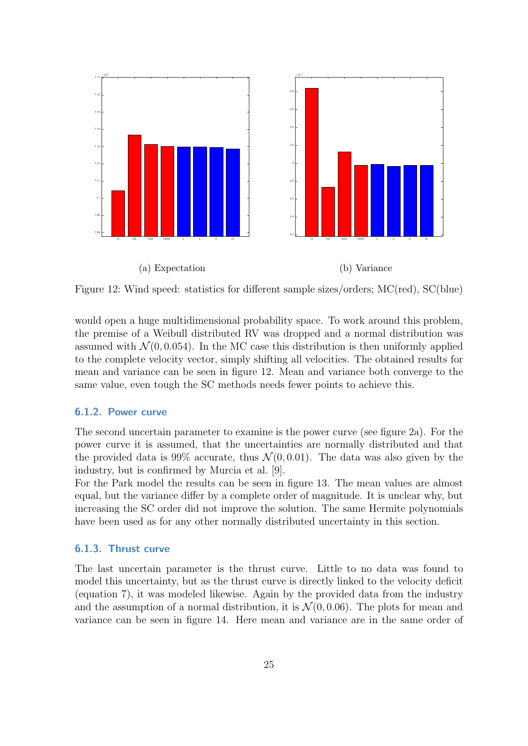<span id="page-32-2"></span>

Figure 12: Wind speed: statistics for different sample sizes/orders; MC(red), SC(blue)

would open a huge multidimensional probability space. To work around this problem, the premise of a Weibull distributed [RV](#page-5-10) was dropped and a normal distribution was assumed with  $\mathcal{N}(0, 0.054)$ . In the [MC](#page-5-2) case this distribution is then uniformly applied to the complete velocity vector, simply shifting all velocities. The obtained results for mean and variance can be seen in figure [12.](#page-32-2) Mean and variance both converge to the same value, even tough the [SC](#page-5-3) methods needs fewer points to achieve this.

#### <span id="page-32-0"></span>6.1.2. Power curve

The second uncertain parameter to examine is the power curve (see figure [2a\)](#page-10-2). For the power curve it is assumed, that the uncertainties are normally distributed and that the provided data is 99% accurate, thus  $\mathcal{N}(0, 0.01)$ . The data was also given by the industry, but is confirmed by Murcia et al. [\[9\]](#page-38-10).

For the Park model the results can be seen in figure [13.](#page-33-1) The mean values are almost equal, but the variance differ by a complete order of magnitude. It is unclear why, but increasing the [SC](#page-5-3) order did not improve the solution. The same Hermite polynomials have been used as for any other normally distributed uncertainty in this section.

### <span id="page-32-1"></span>6.1.3. Thrust curve

The last uncertain parameter is the thrust curve. Little to no data was found to model this uncertainty, but as the thrust curve is directly linked to the velocity deficit (equation [7\)](#page-12-1), it was modeled likewise. Again by the provided data from the industry and the assumption of a normal distribution, it is  $\mathcal{N}(0, 0.06)$ . The plots for mean and variance can be seen in figure [14.](#page-34-0) Here mean and variance are in the same order of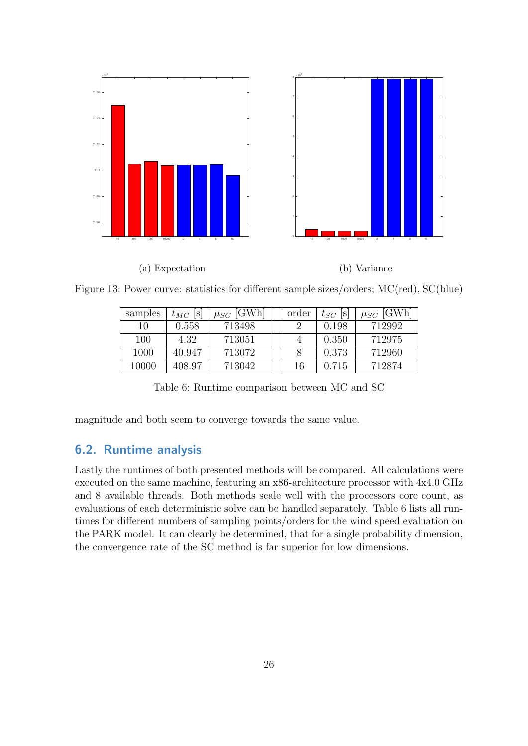<span id="page-33-1"></span>

<span id="page-33-2"></span>Figure 13: Power curve: statistics for different sample sizes/orders; MC(red), SC(blue)

| samples | $t_{MC}$<br> S | $\mu_{SC}$ [GWh] | order | $t_{SC}$<br> S | $\mu_{SC}$ [GWh] |
|---------|----------------|------------------|-------|----------------|------------------|
| 10      | 0.558          | 713498           |       | 0.198          | 712992           |
| 100     | 4.32           | 713051           |       | 0.350          | 712975           |
| 1000    | 40.947         | 713072           |       | 0.373          | 712960           |
| 10000   | 408.97         | 713042           | 16    | 0.715          | 712874           |

Table 6: Runtime comparison between [MC](#page-5-2) and [SC](#page-5-3)

magnitude and both seem to converge towards the same value.

### <span id="page-33-0"></span>6.2. Runtime analysis

Lastly the runtimes of both presented methods will be compared. All calculations were executed on the same machine, featuring an x86-architecture processor with 4x4.0 GHz and 8 available threads. Both methods scale well with the processors core count, as evaluations of each deterministic solve can be handled separately. Table [6](#page-33-2) lists all runtimes for different numbers of sampling points/orders for the wind speed evaluation on the PARK model. It can clearly be determined, that for a single probability dimension, the convergence rate of the [SC](#page-5-3) method is far superior for low dimensions.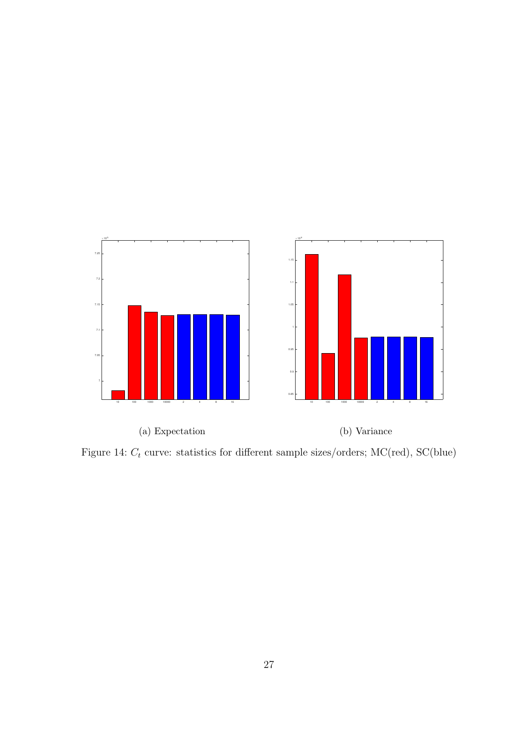<span id="page-34-0"></span>

Figure 14:  $C_t$  curve: statistics for different sample sizes/orders; MC(red), SC(blue)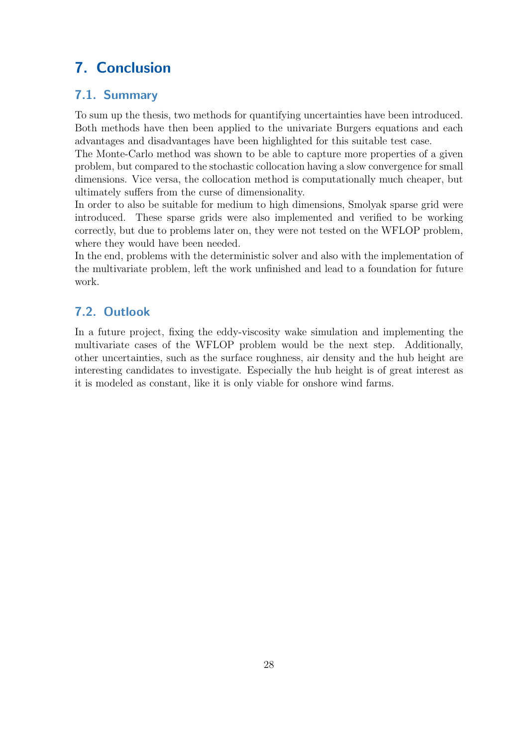# <span id="page-35-0"></span>7. Conclusion

### <span id="page-35-1"></span>7.1. Summary

To sum up the thesis, two methods for quantifying uncertainties have been introduced. Both methods have then been applied to the univariate Burgers equations and each advantages and disadvantages have been highlighted for this suitable test case.

The Monte-Carlo method was shown to be able to capture more properties of a given problem, but compared to the stochastic collocation having a slow convergence for small dimensions. Vice versa, the collocation method is computationally much cheaper, but ultimately suffers from the curse of dimensionality.

In order to also be suitable for medium to high dimensions, Smolyak sparse grid were introduced. These sparse grids were also implemented and verified to be working correctly, but due to problems later on, they were not tested on the [WFLOP](#page-5-5) problem, where they would have been needed.

In the end, problems with the deterministic solver and also with the implementation of the multivariate problem, left the work unfinished and lead to a foundation for future work.

## <span id="page-35-2"></span>7.2. Outlook

In a future project, fixing the eddy-viscosity wake simulation and implementing the multivariate cases of the [WFLOP](#page-5-5) problem would be the next step. Additionally, other uncertainties, such as the surface roughness, air density and the hub height are interesting candidates to investigate. Especially the hub height is of great interest as it is modeled as constant, like it is only viable for onshore wind farms.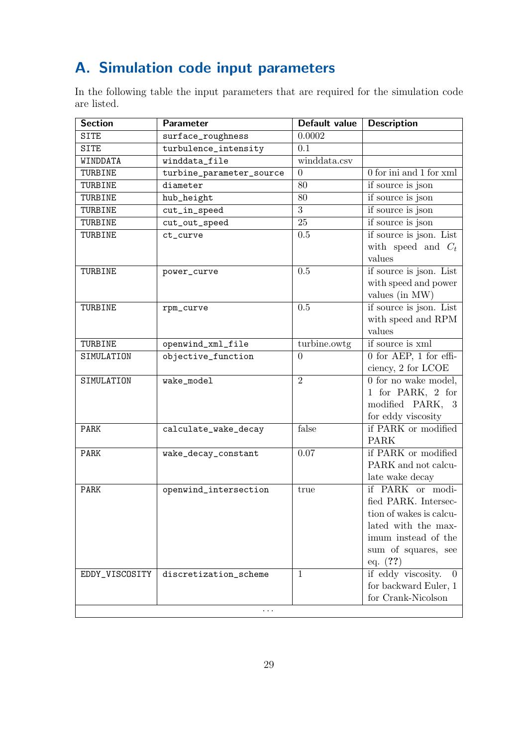# <span id="page-36-0"></span>A. Simulation code input parameters

In the following table the input parameters that are required for the simulation code are listed.

<span id="page-36-1"></span>

| 0.0002<br><b>SITE</b><br>surface_roughness<br>turbulence_intensity<br>0.1<br><b>SITE</b><br>winddata.csv<br>winddata_file<br>WINDDATA<br>0 for ini and 1 for xml<br>$\overline{0}$<br>TURBINE<br>turbine_parameter_source<br>80<br>if source is json<br>diameter<br>TURBINE |          |
|-----------------------------------------------------------------------------------------------------------------------------------------------------------------------------------------------------------------------------------------------------------------------------|----------|
|                                                                                                                                                                                                                                                                             |          |
|                                                                                                                                                                                                                                                                             |          |
|                                                                                                                                                                                                                                                                             |          |
|                                                                                                                                                                                                                                                                             |          |
|                                                                                                                                                                                                                                                                             |          |
| if source is json<br>80<br>TURBINE<br>hub_height                                                                                                                                                                                                                            |          |
| $\overline{3}$<br>if source is json<br>cut_in_speed<br>TURBINE                                                                                                                                                                                                              |          |
| 25<br>if source is json<br>TURBINE<br>cut_out_speed                                                                                                                                                                                                                         |          |
| if source is json. List<br>TURBINE<br>0.5<br>ct_curve                                                                                                                                                                                                                       |          |
| with speed and $C_t$                                                                                                                                                                                                                                                        |          |
| values                                                                                                                                                                                                                                                                      |          |
| if source is json. List<br>0.5<br>TURBINE<br>power_curve                                                                                                                                                                                                                    |          |
| with speed and power                                                                                                                                                                                                                                                        |          |
| values (in MW)                                                                                                                                                                                                                                                              |          |
| if source is json. List<br>0.5<br>TURBINE<br>rpm_curve                                                                                                                                                                                                                      |          |
| with speed and RPM                                                                                                                                                                                                                                                          |          |
| values                                                                                                                                                                                                                                                                      |          |
| if source is xml<br>turbine.owtg<br>TURBINE<br>openwind_xml_file                                                                                                                                                                                                            |          |
| $0$ for AEP, 1 for effi-<br>objective_function<br>SIMULATION<br>$\theta$                                                                                                                                                                                                    |          |
| ciency, 2 for LCOE                                                                                                                                                                                                                                                          |          |
| 0 for no wake model,<br>$\overline{2}$<br>SIMULATION<br>wake_model                                                                                                                                                                                                          |          |
| 1 for PARK, 2 for                                                                                                                                                                                                                                                           |          |
| modified PARK, 3                                                                                                                                                                                                                                                            |          |
| for eddy viscosity                                                                                                                                                                                                                                                          |          |
| if PARK or modified<br>false<br>PARK<br>calculate_wake_decay                                                                                                                                                                                                                |          |
| <b>PARK</b>                                                                                                                                                                                                                                                                 |          |
| if PARK or modified<br>0.07<br>PARK<br>wake_decay_constant                                                                                                                                                                                                                  |          |
| PARK and not calcu-                                                                                                                                                                                                                                                         |          |
| late wake decay                                                                                                                                                                                                                                                             |          |
| if PARK or modi-<br>PARK<br>openwind_intersection<br>true                                                                                                                                                                                                                   |          |
| fied PARK. Intersec-                                                                                                                                                                                                                                                        |          |
| tion of wakes is calcu-                                                                                                                                                                                                                                                     |          |
| lated with the max-<br>imum instead of the                                                                                                                                                                                                                                  |          |
|                                                                                                                                                                                                                                                                             |          |
| sum of squares, see                                                                                                                                                                                                                                                         |          |
| eq. $(?)$<br>if eddy viscosity.<br>$\mathbf{1}$<br>EDDY_VISCOSITY<br>discretization_scheme                                                                                                                                                                                  | $\theta$ |
| for backward Euler, 1                                                                                                                                                                                                                                                       |          |
| for Crank-Nicolson                                                                                                                                                                                                                                                          |          |
| $\cdots$                                                                                                                                                                                                                                                                    |          |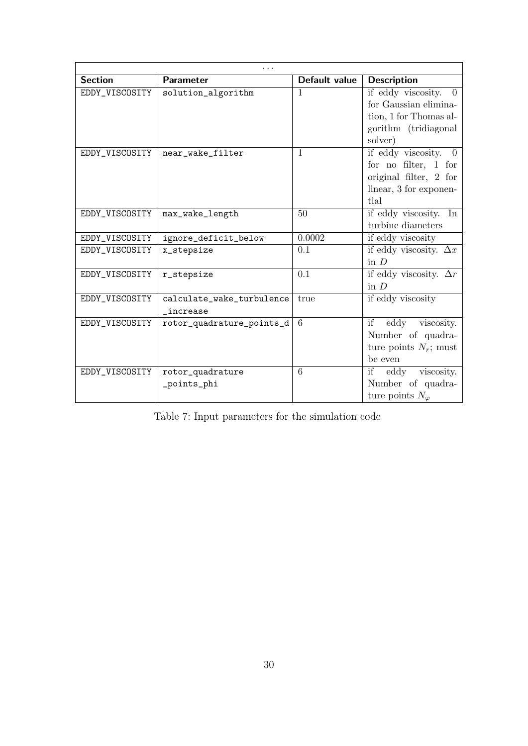| <b>Section</b> | Parameter                             | Default value | <b>Description</b>                                                                                                   |  |  |  |  |
|----------------|---------------------------------------|---------------|----------------------------------------------------------------------------------------------------------------------|--|--|--|--|
| EDDY_VISCOSITY | solution_algorithm                    | 1             | if eddy viscosity.<br>$\theta$<br>for Gaussian elimina-<br>tion, 1 for Thomas al-<br>gorithm (tridiagonal<br>solver) |  |  |  |  |
| EDDY_VISCOSITY | near_wake_filter                      | $\mathbf{1}$  | if eddy viscosity.<br>$\Omega$<br>for no filter, $1$ for<br>original filter, 2 for<br>linear, 3 for exponen-<br>tial |  |  |  |  |
| EDDY_VISCOSITY | max_wake_length                       | 50            | if eddy viscosity.<br>In<br>turbine diameters                                                                        |  |  |  |  |
| EDDY_VISCOSITY | ignore_deficit_below                  | 0.0002        | if eddy viscosity                                                                                                    |  |  |  |  |
| EDDY_VISCOSITY | x_stepsize                            | 0.1           | if eddy viscosity. $\Delta x$<br>in $D$                                                                              |  |  |  |  |
| EDDY_VISCOSITY | r_stepsize                            | 0.1           | if eddy viscosity. $\Delta r$<br>in $D$                                                                              |  |  |  |  |
| EDDY_VISCOSITY | calculate_wake_turbulence<br>increase | true          | if eddy viscosity                                                                                                    |  |  |  |  |
| EDDY_VISCOSITY | rotor_quadrature_points_d             | 6             | eddy<br>if<br>viscosity.<br>Number of quadra-<br>ture points $N_r$ ; must<br>be even                                 |  |  |  |  |
| EDDY_VISCOSITY | rotor_quadrature<br>_points_phi       | 6             | if<br>viscosity.<br>eddy<br>Number of quadra-<br>ture points $N_{\varphi}$                                           |  |  |  |  |

Table 7: Input parameters for the simulation code